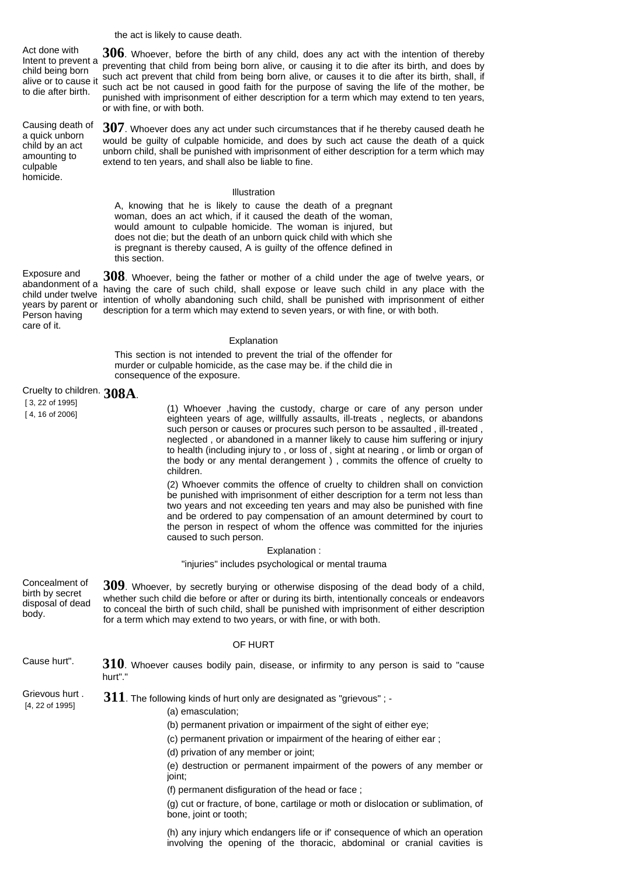the act is likely to cause death.

Act done with Intent to prevent a child being born alive or to cause it to die after birth.

Causing death of a quick unborn child by an act amounting to culpable homicide.

**306**. Whoever, before the birth of any child, does any act with the intention of thereby preventing that child from being born alive, or causing it to die after its birth, and does by such act prevent that child from being born alive, or causes it to die after its birth, shall, if such act be not caused in good faith for the purpose of saving the life of the mother, be punished with imprisonment of either description for a term which may extend to ten years, or with fine, or with both.

**307**. Whoever does any act under such circumstances that if he thereby caused death he would be guilty of culpable homicide, and does by such act cause the death of a quick unborn child, shall be punished with imprisonment of either description for a term which may extend to ten years, and shall also be liable to fine.

#### Illustration

A, knowing that he is likely to cause the death of a pregnant woman, does an act which, if it caused the death of the woman, would amount to culpable homicide. The woman is injured, but does not die; but the death of an unborn quick child with which she is pregnant is thereby caused, A is guilty of the offence defined in this section.

Exposure and abandonment of a child under twelve years by parent or Person having care of it.

**308**. Whoever, being the father or mother of a child under the age of twelve years, or having the care of such child, shall expose or leave such child in any place with the intention of wholly abandoning such child, shall be punished with imprisonment of either description for a term which may extend to seven years, or with fine, or with both.

#### Explanation

This section is not intended to prevent the trial of the offender for murder or culpable homicide, as the case may be. if the child die in consequence of the exposure.

# Cruelty to children. **308A**.

[ 3, 22 of 1995] [ 4, 16 of 2006]

[4, 22 of 1995]

(1) Whoever ,having the custody, charge or care of any person under eighteen vears of age, willfully assaults, ill-treats, neglects, or abandons such person or causes or procures such person to be assaulted , ill-treated , neglected , or abandoned in a manner likely to cause him suffering or injury to health (including injury to , or loss of , sight at nearing , or limb or organ of the body or any mental derangement ) , commits the offence of cruelty to children.

(2) Whoever commits the offence of cruelty to children shall on conviction be punished with imprisonment of either description for a term not less than two years and not exceeding ten years and may also be punished with fine and be ordered to pay compensation of an amount determined by court to the person in respect of whom the offence was committed for the injuries caused to such person.

#### Explanation :

"injuries" includes psychological or mental trauma

Concealment of birth by secret disposal of dead body. **309**. Whoever, by secretly burying or otherwise disposing of the dead body of a child, whether such child die before or after or during its birth, intentionally conceals or endeavors to conceal the birth of such child, shall be punished with imprisonment of either description for a term which may extend to two years, or with fine, or with both.

#### OF HURT

| Cause hurt".   | $310$ . Whoever causes bodily pain, disease, or infirmity to any person is said to "cause<br>hurt"." |
|----------------|------------------------------------------------------------------------------------------------------|
| Grievous hurt. | $311$ . The following kinds of hurt only are designated as "grievous" ; -                            |

- (a) emasculation;
- (b) permanent privation or impairment of the sight of either eye;
- (c) permanent privation or impairment of the hearing of either ear ;
- (d) privation of any member or joint;

(e) destruction or permanent impairment of the powers of any member or joint;

(f) permanent disfiguration of the head or face ;

(g) cut or fracture, of bone, cartilage or moth or dislocation or sublimation, of bone, joint or tooth;

(h) any injury which endangers life or if' consequence of which an operation involving the opening of the thoracic, abdominal or cranial cavities is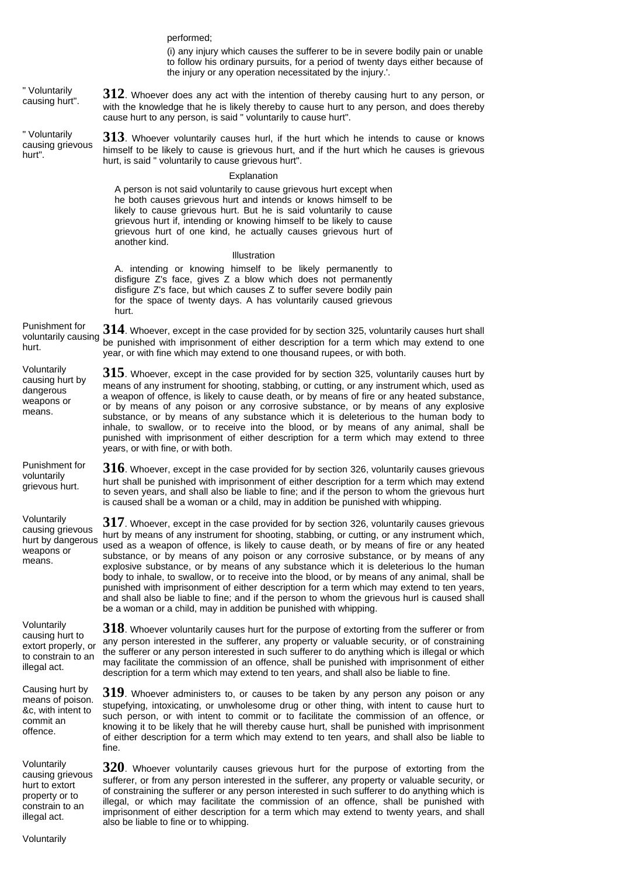performed;

(i) any injury which causes the sufferer to be in severe bodily pain or unable to follow his ordinary pursuits, for a period of twenty days either because of the injury or any operation necessitated by the injury.'.

" Voluntarily causing hurt". **312**. Whoever does any act with the intention of thereby causing hurt to any person, or with the knowledge that he is likely thereby to cause hurt to any person, and does thereby cause hurt to any person, is said " voluntarily to cause hurt".

causing grievous **313**. Whoever voluntarily causes hurl, if the hurt which he intends to cause or knows himself to be likely to cause is grievous hurt, and if the hurt which he causes is grievous hurt, is said " voluntarily to cause grievous hurt".

### Explanation

A person is not said voluntarily to cause grievous hurt except when he both causes grievous hurt and intends or knows himself to be likely to cause grievous hurt. But he is said voluntarily to cause grievous hurt if, intending or knowing himself to be likely to cause grievous hurt of one kind, he actually causes grievous hurt of another kind.

#### Illustration

A. intending or knowing himself to be likely permanently to disfigure Z's face, gives Z a blow which does not permanently disfigure Z's face, but which causes Z to suffer severe bodily pain for the space of twenty days. A has voluntarily caused grievous hurt.

Punishment for voluntarily causing hurt. **314**. Whoever, except in the case provided for by section 325, voluntarily causes hurt shall be punished with imprisonment of either description for a term which may extend to one year, or with fine which may extend to one thousand rupees, or with both.

Voluntarily causing hurt by dangerous weapons or **315**. Whoever, except in the case provided for by section 325, voluntarily causes hurt by means of any instrument for shooting, stabbing, or cutting, or any instrument which, used as a weapon of offence, is likely to cause death, or by means of fire or any heated substance, or by means of any poison or any corrosive substance, or by means of any explosive substance, or by means of any substance which it is deleterious to the human body to inhale, to swallow, or to receive into the blood, or by means of any animal, shall be punished with imprisonment of either description for a term which may extend to three years, or with fine, or with both.

Punishment for voluntarily grievous hurt. **316**. Whoever, except in the case provided for by section 326, voluntarily causes grievous hurt shall be punished with imprisonment of either description for a term which may extend to seven years, and shall also be liable to fine; and if the person to whom the grievous hurt is caused shall be a woman or a child, may in addition be punished with whipping.

means.

" Voluntarily

hurt".

Voluntarily causing grievous hurt by dangerous weapons or means.

Voluntarily causing hurt to extort properly, or to constrain to an illegal act.

Causing hurt by means of poison. &c, with intent to commit an offence.

Voluntarily causing grievous hurt to extort property or to constrain to an illegal act.

Voluntarily

**317**. Whoever, except in the case provided for by section 326, voluntarily causes grievous hurt by means of any instrument for shooting, stabbing, or cutting, or any instrument which, used as a weapon of offence, is likely to cause death, or by means of fire or any heated substance, or by means of any poison or any corrosive substance, or by means of any explosive substance, or by means of any substance which it is deleterious lo the human body to inhale, to swallow, or to receive into the blood, or by means of any animal, shall be punished with imprisonment of either description for a term which may extend to ten years, and shall also be liable to fine; and if the person to whom the grievous hurl is caused shall be a woman or a child, may in addition be punished with whipping.

**318**. Whoever voluntarily causes hurt for the purpose of extorting from the sufferer or from any person interested in the sufferer, any property or valuable security, or of constraining the sufferer or any person interested in such sufferer to do anything which is illegal or which may facilitate the commission of an offence, shall be punished with imprisonment of either description for a term which may extend to ten years, and shall also be liable to fine.

**319**. Whoever administers to, or causes to be taken by any person any poison or any stupefying, intoxicating, or unwholesome drug or other thing, with intent to cause hurt to such person, or with intent to commit or to facilitate the commission of an offence, or knowing it to be likely that he will thereby cause hurt, shall be punished with imprisonment of either description for a term which may extend to ten years, and shall also be liable to fine.

**320**. Whoever voluntarily causes grievous hurt for the purpose of extorting from the sufferer, or from any person interested in the sufferer, any property or valuable security, or of constraining the sufferer or any person interested in such sufferer to do anything which is illegal, or which may facilitate the commission of an offence, shall be punished with imprisonment of either description for a term which may extend to twenty years, and shall also be liable to fine or to whipping.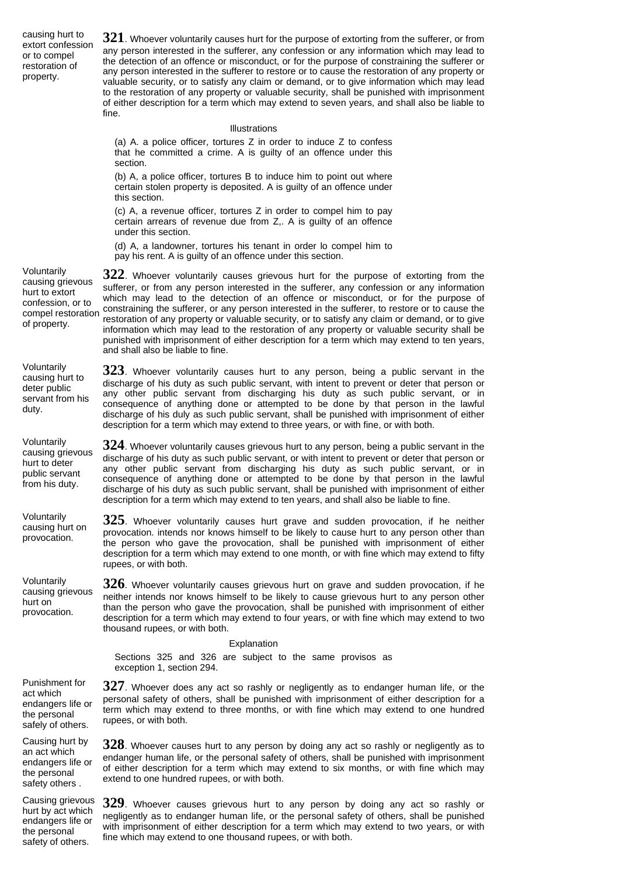causing hurt to extort confession or to compel restoration of property.

**321**. Whoever voluntarily causes hurt for the purpose of extorting from the sufferer, or from any person interested in the sufferer, any confession or any information which may lead to the detection of an offence or misconduct, or for the purpose of constraining the sufferer or any person interested in the sufferer to restore or to cause the restoration of any property or valuable security, or to satisfy any claim or demand, or to give information which may lead to the restoration of any property or valuable security, shall be punished with imprisonment of either description for a term which may extend to seven years, and shall also be liable to fine.

#### Illustrations

(a) A. a police officer, tortures Z in order to induce Z to confess that he committed a crime. A is guilty of an offence under this section.

(b) A, a police officer, tortures B to induce him to point out where certain stolen property is deposited. A is guilty of an offence under this section.

(c) A, a revenue officer, tortures Z in order to compel him to pay certain arrears of revenue due from Z,. A is guilty of an offence under this section.

(d) A, a landowner, tortures his tenant in order lo compel him to pay his rent. A is guilty of an offence under this section.

Voluntarily causing grievous hurt to extort confession, or to of property.

Voluntarily causing hurt to deter public servant from his duty.

Voluntarily causing grievous hurt to deter public servant from his duty.

Voluntarily causing hurt on provocation.

Voluntarily causing grievous hurt on provocation.

compel restoration constraining the sufferer, or any person interested in the sufferer, to restore or to cause the<br>compel restoration contention of any preparty or valueble assuming at a satisfy any claim or demand or to g **322**. Whoever voluntarily causes grievous hurt for the purpose of extorting from the sufferer, or from any person interested in the sufferer, any confession or any information which may lead to the detection of an offence or misconduct, or for the purpose of restoration of any property or valuable security, or to satisfy any claim or demand, or to give information which may lead to the restoration of any property or valuable security shall be punished with imprisonment of either description for a term which may extend to ten years, and shall also be liable to fine.

> **323**. Whoever voluntarily causes hurt to any person, being a public servant in the discharge of his duty as such public servant, with intent to prevent or deter that person or any other public servant from discharging his duty as such public servant, or in consequence of anything done or attempted to be done by that person in the lawful discharge of his duly as such public servant, shall be punished with imprisonment of either description for a term which may extend to three years, or with fine, or with both.

> **324**. Whoever voluntarily causes grievous hurt to any person, being a public servant in the discharge of his duty as such public servant, or with intent to prevent or deter that person or any other public servant from discharging his duty as such public servant, or in consequence of anything done or attempted to be done by that person in the lawful discharge of his duty as such public servant, shall be punished with imprisonment of either description for a term which may extend to ten years, and shall also be liable to fine.

**325**. Whoever voluntarily causes hurt grave and sudden provocation, if he neither provocation. intends nor knows himself to be likely to cause hurt to any person other than the person who gave the provocation, shall be punished with imprisonment of either description for a term which may extend to one month, or with fine which may extend to fifty rupees, or with both.

**326**. Whoever voluntarily causes grievous hurt on grave and sudden provocation, if he neither intends nor knows himself to be likely to cause grievous hurt to any person other than the person who gave the provocation, shall be punished with imprisonment of either description for a term which may extend to four years, or with fine which may extend to two thousand rupees, or with both.

# Explanation

Sections 325 and 326 are subject to the same provisos as exception 1, section 294.

Punishment for act which endangers life or the personal safely of others.

Causing hurt by an act which endangers life or the personal safety others.

Causing grievous hurt by act which endangers life or the personal safety of others.

**327**. Whoever does any act so rashly or negligently as to endanger human life, or the personal safety of others, shall be punished with imprisonment of either description for a term which may extend to three months, or with fine which may extend to one hundred rupees, or with both.

**328**. Whoever causes hurt to any person by doing any act so rashly or negligently as to endanger human life, or the personal safety of others, shall be punished with imprisonment of either description for a term which may extend to six months, or with fine which may extend to one hundred rupees, or with both.

**329**. Whoever causes grievous hurt to any person by doing any act so rashly or negligently as to endanger human life, or the personal safety of others, shall be punished with imprisonment of either description for a term which may extend to two years, or with fine which may extend to one thousand rupees, or with both.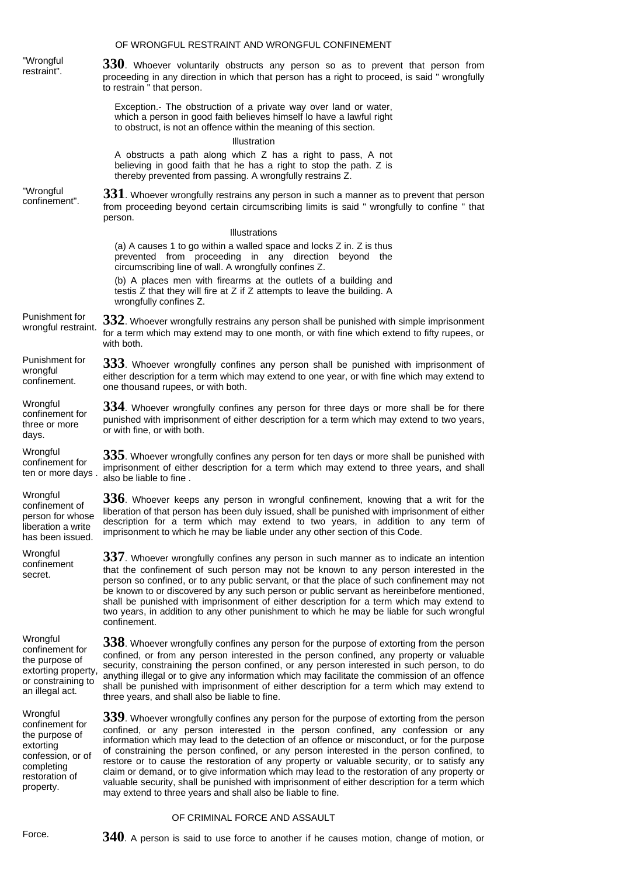| "Wrongful<br>restraint".                                                                                                     | 330. Whoever voluntarily obstructs any person so as to prevent that person from<br>proceeding in any direction in which that person has a right to proceed, is said " wrongfully<br>to restrain " that person.                                                                                                                                                                                                                                                                                                                                                                                                                                                                                                                         |
|------------------------------------------------------------------------------------------------------------------------------|----------------------------------------------------------------------------------------------------------------------------------------------------------------------------------------------------------------------------------------------------------------------------------------------------------------------------------------------------------------------------------------------------------------------------------------------------------------------------------------------------------------------------------------------------------------------------------------------------------------------------------------------------------------------------------------------------------------------------------------|
|                                                                                                                              | Exception.- The obstruction of a private way over land or water,<br>which a person in good faith believes himself lo have a lawful right<br>to obstruct, is not an offence within the meaning of this section.<br>Illustration                                                                                                                                                                                                                                                                                                                                                                                                                                                                                                         |
|                                                                                                                              | A obstructs a path along which Z has a right to pass, A not<br>believing in good faith that he has a right to stop the path. Z is<br>thereby prevented from passing. A wrongfully restrains Z.                                                                                                                                                                                                                                                                                                                                                                                                                                                                                                                                         |
| "Wrongful<br>confinement".                                                                                                   | $331$ . Whoever wrongfully restrains any person in such a manner as to prevent that person<br>from proceeding beyond certain circumscribing limits is said " wrongfully to confine " that<br>person.                                                                                                                                                                                                                                                                                                                                                                                                                                                                                                                                   |
|                                                                                                                              | Illustrations                                                                                                                                                                                                                                                                                                                                                                                                                                                                                                                                                                                                                                                                                                                          |
|                                                                                                                              | (a) A causes 1 to go within a walled space and locks Z in. Z is thus<br>prevented from proceeding in any direction beyond the<br>circumscribing line of wall. A wrongfully confines Z.                                                                                                                                                                                                                                                                                                                                                                                                                                                                                                                                                 |
|                                                                                                                              | (b) A places men with firearms at the outlets of a building and<br>testis Z that they will fire at Z if Z attempts to leave the building. A<br>wrongfully confines Z.                                                                                                                                                                                                                                                                                                                                                                                                                                                                                                                                                                  |
| Punishment for<br>wrongful restraint.                                                                                        | $332$ . Whoever wrongfully restrains any person shall be punished with simple imprisonment<br>for a term which may extend may to one month, or with fine which extend to fifty rupees, or<br>with both.                                                                                                                                                                                                                                                                                                                                                                                                                                                                                                                                |
| Punishment for<br>wrongful<br>confinement.                                                                                   | 333. Whoever wrongfully confines any person shall be punished with imprisonment of<br>either description for a term which may extend to one year, or with fine which may extend to<br>one thousand rupees, or with both.                                                                                                                                                                                                                                                                                                                                                                                                                                                                                                               |
| Wrongful<br>confinement for<br>three or more<br>days.                                                                        | 334. Whoever wrongfully confines any person for three days or more shall be for there<br>punished with imprisonment of either description for a term which may extend to two years,<br>or with fine, or with both.                                                                                                                                                                                                                                                                                                                                                                                                                                                                                                                     |
| Wrongful<br>confinement for<br>ten or more days.                                                                             | $335$ . Whoever wrongfully confines any person for ten days or more shall be punished with<br>imprisonment of either description for a term which may extend to three years, and shall<br>also be liable to fine.                                                                                                                                                                                                                                                                                                                                                                                                                                                                                                                      |
| Wrongful<br>confinement of<br>person for whose<br>liberation a write<br>has been issued.                                     | $336$ . Whoever keeps any person in wrongful confinement, knowing that a writ for the<br>liberation of that person has been duly issued, shall be punished with imprisonment of either<br>description for a term which may extend to two years, in addition to any term of<br>imprisonment to which he may be liable under any other section of this Code.                                                                                                                                                                                                                                                                                                                                                                             |
| Wrongful<br>confinement<br>secret.                                                                                           | $337$ . Whoever wrongfully confines any person in such manner as to indicate an intention<br>that the confinement of such person may not be known to any person interested in the<br>person so confined, or to any public servant, or that the place of such confinement may not<br>be known to or discovered by any such person or public servant as hereinbefore mentioned,<br>shall be punished with imprisonment of either description for a term which may extend to<br>two years, in addition to any other punishment to which he may be liable for such wrongful<br>confinement.                                                                                                                                                |
| Wrongful<br>confinement for<br>the purpose of<br>extorting property,<br>or constraining to<br>an illegal act.                | 338. Whoever wrongfully confines any person for the purpose of extorting from the person<br>confined, or from any person interested in the person confined, any property or valuable<br>security, constraining the person confined, or any person interested in such person, to do<br>anything illegal or to give any information which may facilitate the commission of an offence<br>shall be punished with imprisonment of either description for a term which may extend to<br>three years, and shall also be liable to fine.                                                                                                                                                                                                      |
| Wrongful<br>confinement for<br>the purpose of<br>extorting<br>confession, or of<br>completing<br>restoration of<br>property. | 339. Whoever wrongfully confines any person for the purpose of extorting from the person<br>confined, or any person interested in the person confined, any confession or any<br>information which may lead to the detection of an offence or misconduct, or for the purpose<br>of constraining the person confined, or any person interested in the person confined, to<br>restore or to cause the restoration of any property or valuable security, or to satisfy any<br>claim or demand, or to give information which may lead to the restoration of any property or<br>valuable security, shall be punished with imprisonment of either description for a term which<br>may extend to three years and shall also be liable to fine. |
|                                                                                                                              | OE ODIMINIAL EODOE AND ACCALILT                                                                                                                                                                                                                                                                                                                                                                                                                                                                                                                                                                                                                                                                                                        |

OF WRONGFUL RESTRAINT AND WRONGFUL CONFINEMENT

# OF CRIMINAL FORCE AND ASSAULT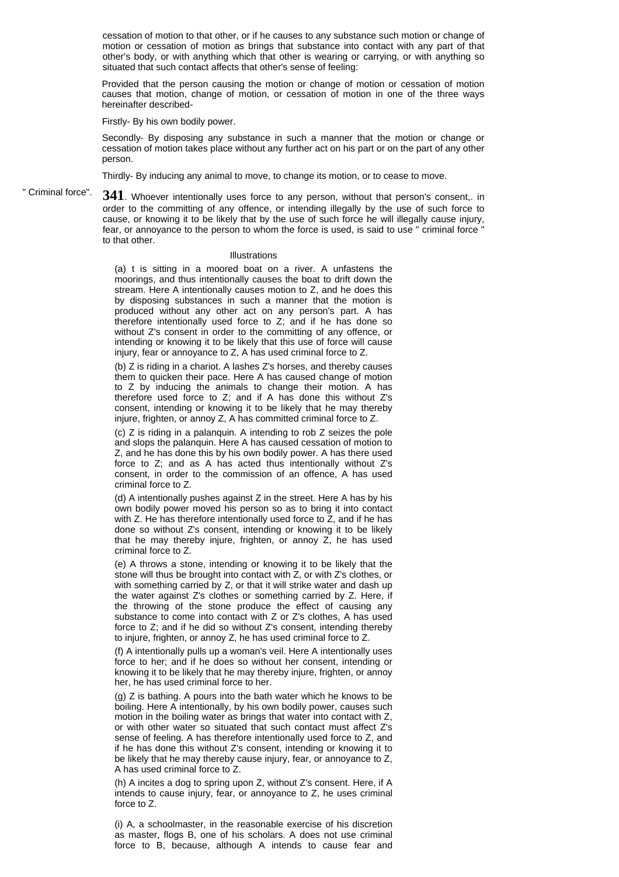cessation of motion to that other, or if he causes to any substance such motion or change of motion or cessation of motion as brings that substance into contact with any part of that other's body, or with anything which that other is wearing or carrying, or with anything so situated that such contact affects that other's sense of feeling:

Provided that the person causing the motion or change of motion or cessation of motion causes that motion, change of motion, or cessation of motion in one of the three ways hereinafter described-

Firstly- By his own bodily power.

Secondly- By disposing any substance in such a manner that the motion or change or cessation of motion takes place without any further act on his part or on the part of any other person.

Thirdly- By inducing any animal to move, to change its motion, or to cease to move.

" Criminal force". **341**. Whoever intentionally uses force to any person, without that person's consent,. in order to the committing of any offence, or intending illegally by the use of such force to cause, or knowing it to be likely that by the use of such force he will illegally cause injury, fear, or annoyance to the person to whom the force is used, is said to use " criminal force " to that other.

#### Illustrations

(a) t is sitting in a moored boat on a river. A unfastens the moorings, and thus intentionally causes the boat to drift down the stream. Here A intentionally causes motion to Z, and he does this by disposing substances in such a manner that the motion is produced without any other act on any person's part. A has therefore intentionally used force to Z; and if he has done so without Z's consent in order to the committing of any offence, or intending or knowing it to be likely that this use of force will cause injury, fear or annoyance to Z, A has used criminal force to Z.

(b) Z is riding in a chariot. A lashes Z's horses, and thereby causes them to quicken their pace. Here A has caused change of motion to Z by inducing the animals to change their motion. A has therefore used force to Z; and if A has done this without Z's consent, intending or knowing it to be likely that he may thereby injure, frighten, or annoy Z, A has committed criminal force to Z.

(c) Z is riding in a palanquin. A intending to rob Z seizes the pole and slops the palanquin. Here A has caused cessation of motion to Z, and he has done this by his own bodily power. A has there used force to Z; and as A has acted thus intentionally without Z's consent, in order to the commission of an offence, A has used criminal force to Z.

(d) A intentionally pushes against Z in the street. Here A has by his own bodily power moved his person so as to bring it into contact with Z. He has therefore intentionally used force to Z, and if he has done so without Z's consent, intending or knowing it to be likely that he may thereby injure, frighten, or annoy Z, he has used criminal force to Z.

(e) A throws a stone, intending or knowing it to be likely that the stone will thus be brought into contact with Z, or with Z's clothes, or with something carried by Z, or that it will strike water and dash up the water against Z's clothes or something carried by Z. Here, if the throwing of the stone produce the effect of causing any substance to come into contact with Z or Z's clothes, A has used force to Z; and if he did so without Z's consent, intending thereby to injure, frighten, or annoy Z, he has used criminal force to Z.

(f) A intentionally pulls up a woman's veil. Here A intentionally uses force to her; and if he does so without her consent, intending or knowing it to be likely that he may thereby injure, frighten, or annoy her, he has used criminal force to her.

(g) Z is bathing. A pours into the bath water which he knows to be boiling. Here A intentionally, by his own bodily power, causes such motion in the boiling water as brings that water into contact with Z, or with other water so situated that such contact must affect Z's sense of feeling. A has therefore intentionally used force to Z, and if he has done this without Z's consent, intending or knowing it to be likely that he may thereby cause injury, fear, or annoyance to Z, A has used criminal force to Z.

(h) A incites a dog to spring upon Z, without Z's consent. Here, if A intends to cause injury, fear, or annoyance to Z, he uses criminal force to Z.

(i) A, a schoolmaster, in the reasonable exercise of his discretion as master, flogs B, one of his scholars. A does not use criminal force to B, because, although A intends to cause fear and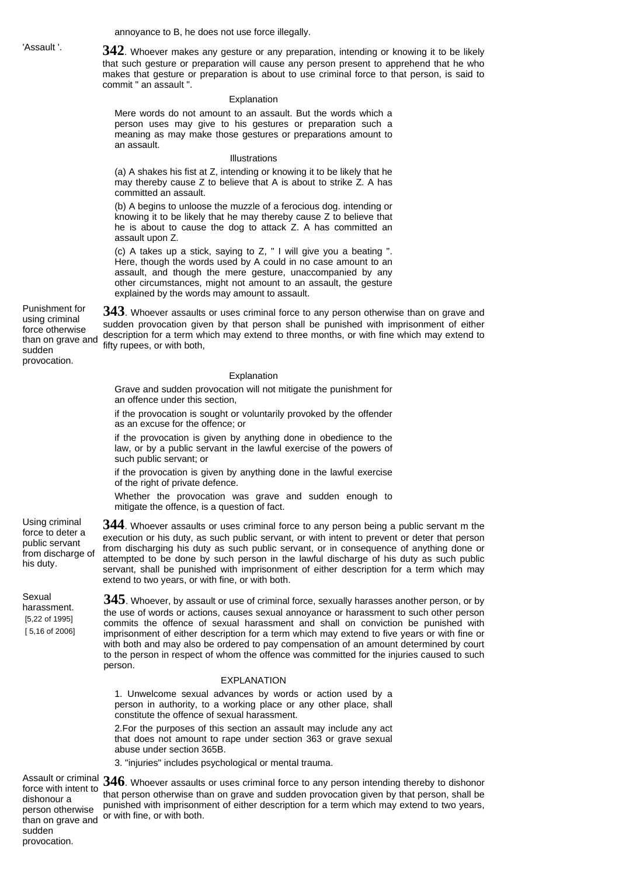annoyance to B, he does not use force illegally.

'Assault '. **342**. Whoever makes any gesture or any preparation, intending or knowing it to be likely that such gesture or preparation will cause any person present to apprehend that he who makes that gesture or preparation is about to use criminal force to that person, is said to commit " an assault ".

### Explanation

Mere words do not amount to an assault. But the words which a person uses may give to his gestures or preparation such a meaning as may make those gestures or preparations amount to an assault.

#### Illustrations

(a) A shakes his fist at Z, intending or knowing it to be likely that he may thereby cause Z to believe that A is about to strike Z. A has committed an assault.

(b) A begins to unloose the muzzle of a ferocious dog. intending or knowing it to be likely that he may thereby cause Z to believe that he is about to cause the dog to attack Z. A has committed an assault upon Z.

(c) A takes up a stick, saying to Z, " I will give you a beating ". Here, though the words used by A could in no case amount to an assault, and though the mere gesture, unaccompanied by any other circumstances, might not amount to an assault, the gesture explained by the words may amount to assault.

Punishment for using criminal force otherwise than on grave and sudden provocation.

**343**. Whoever assaults or uses criminal force to any person otherwise than on grave and sudden provocation given by that person shall be punished with imprisonment of either description for a term which may extend to three months, or with fine which may extend to fifty rupees, or with both,

#### Explanation

Grave and sudden provocation will not mitigate the punishment for an offence under this section,

if the provocation is sought or voluntarily provoked by the offender as an excuse for the offence; or

if the provocation is given by anything done in obedience to the law, or by a public servant in the lawful exercise of the powers of such public servant; or

if the provocation is given by anything done in the lawful exercise of the right of private defence.

Whether the provocation was grave and sudden enough to mitigate the offence, is a question of fact.

Using criminal force to deter a public servant from discharge of his duty.

# Sexual

harassment. [5,22 of 1995] [ 5,16 of 2006]

person.

extend to two years, or with fine, or with both. **345**. Whoever, by assault or use of criminal force, sexually harasses another person, or by the use of words or actions, causes sexual annoyance or harassment to such other person commits the offence of sexual harassment and shall on conviction be punished with imprisonment of either description for a term which may extend to five years or with fine or with both and may also be ordered to pay compensation of an amount determined by court to the person in respect of whom the offence was committed for the injuries caused to such

**344**. Whoever assaults or uses criminal force to any person being a public servant m the execution or his duty, as such public servant, or with intent to prevent or deter that person from discharging his duty as such public servant, or in consequence of anything done or attempted to be done by such person in the lawful discharge of his duty as such public servant, shall be punished with imprisonment of either description for a term which may

#### EXPLANATION

1. Unwelcome sexual advances by words or action used by a person in authority, to a working place or any other place, shall constitute the offence of sexual harassment.

2.For the purposes of this section an assault may include any act that does not amount to rape under section 363 or grave sexual abuse under section 365B.

3. "injuries" includes psychological or mental trauma.

force with intent to dishonour a person otherwise sudden provocation.

Assault or criminal **346**. Whoever assaults or uses criminal force to any person intending thereby to dishonor than on grave and or with fine, or with both. that person otherwise than on grave and sudden provocation given by that person, shall be punished with imprisonment of either description for a term which may extend to two years,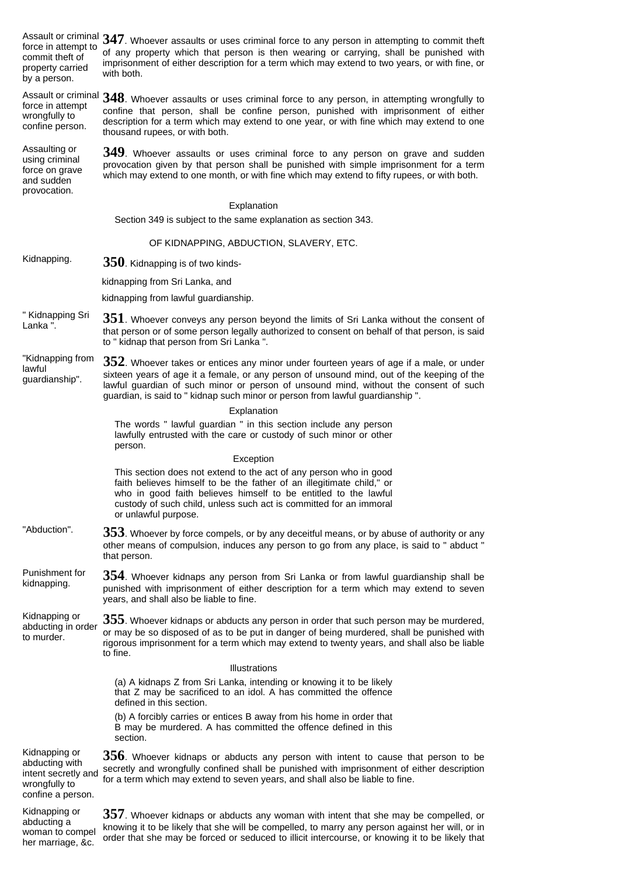| force in attempt to<br>commit theft of<br>property carried<br>by a person.                   | Assault or criminal 347. Whoever assaults or uses criminal force to any person in attempting to commit theft<br>of any property which that person is then wearing or carrying, shall be punished with<br>imprisonment of either description for a term which may extend to two years, or with fine, or<br>with both.                                            |  |
|----------------------------------------------------------------------------------------------|-----------------------------------------------------------------------------------------------------------------------------------------------------------------------------------------------------------------------------------------------------------------------------------------------------------------------------------------------------------------|--|
| force in attempt<br>wrongfully to<br>confine person.                                         | Assault or criminal 348. Whoever assaults or uses criminal force to any person, in attempting wrongfully to<br>confine that person, shall be confine person, punished with imprisonment of either<br>description for a term which may extend to one year, or with fine which may extend to one<br>thousand rupees, or with both.                                |  |
| Assaulting or<br>using criminal<br>force on grave<br>and sudden<br>provocation.              | $349$ . Whoever assaults or uses criminal force to any person on grave and sudden<br>provocation given by that person shall be punished with simple imprisonment for a term<br>which may extend to one month, or with fine which may extend to fifty rupees, or with both.                                                                                      |  |
|                                                                                              | Explanation                                                                                                                                                                                                                                                                                                                                                     |  |
|                                                                                              | Section 349 is subject to the same explanation as section 343.                                                                                                                                                                                                                                                                                                  |  |
|                                                                                              | OF KIDNAPPING, ABDUCTION, SLAVERY, ETC.                                                                                                                                                                                                                                                                                                                         |  |
| Kidnapping.                                                                                  | $350$ . Kidnapping is of two kinds-                                                                                                                                                                                                                                                                                                                             |  |
|                                                                                              | kidnapping from Sri Lanka, and                                                                                                                                                                                                                                                                                                                                  |  |
|                                                                                              | kidnapping from lawful guardianship.                                                                                                                                                                                                                                                                                                                            |  |
| " Kidnapping Sri<br>Lanka".                                                                  | $351$ . Whoever conveys any person beyond the limits of Sri Lanka without the consent of<br>that person or of some person legally authorized to consent on behalf of that person, is said<br>to " kidnap that person from Sri Lanka ".                                                                                                                          |  |
| "Kidnapping from<br>lawful<br>guardianship".                                                 | 352. Whoever takes or entices any minor under fourteen years of age if a male, or under<br>sixteen years of age it a female, or any person of unsound mind, out of the keeping of the<br>lawful guardian of such minor or person of unsound mind, without the consent of such<br>guardian, is said to " kidnap such minor or person from lawful guardianship ". |  |
|                                                                                              | Explanation                                                                                                                                                                                                                                                                                                                                                     |  |
|                                                                                              | The words " lawful guardian " in this section include any person<br>lawfully entrusted with the care or custody of such minor or other<br>person.                                                                                                                                                                                                               |  |
|                                                                                              | Exception                                                                                                                                                                                                                                                                                                                                                       |  |
|                                                                                              | This section does not extend to the act of any person who in good<br>faith believes himself to be the father of an illegitimate child," or<br>who in good faith believes himself to be entitled to the lawful<br>custody of such child, unless such act is committed for an immoral<br>or unlawful purpose.                                                     |  |
| "Abduction".                                                                                 | $353$ . Whoever by force compels, or by any deceitful means, or by abuse of authority or any<br>other means of compulsion, induces any person to go from any place, is said to " abduct "<br>that person.                                                                                                                                                       |  |
| Punishment for<br>kidnapping.                                                                | $354$ . Whoever kidnaps any person from Sri Lanka or from lawful guardianship shall be<br>punished with imprisonment of either description for a term which may extend to seven<br>years, and shall also be liable to fine.                                                                                                                                     |  |
| Kidnapping or<br>abducting in order<br>to murder.                                            | $355$ . Whoever kidnaps or abducts any person in order that such person may be murdered,<br>or may be so disposed of as to be put in danger of being murdered, shall be punished with<br>rigorous imprisonment for a term which may extend to twenty years, and shall also be liable<br>to fine.                                                                |  |
|                                                                                              | Illustrations                                                                                                                                                                                                                                                                                                                                                   |  |
|                                                                                              | (a) A kidnaps Z from Sri Lanka, intending or knowing it to be likely<br>that Z may be sacrificed to an idol. A has committed the offence<br>defined in this section.                                                                                                                                                                                            |  |
|                                                                                              | (b) A forcibly carries or entices B away from his home in order that<br>B may be murdered. A has committed the offence defined in this<br>section.                                                                                                                                                                                                              |  |
| Kidnapping or<br>abducting with<br>intent secretly and<br>wrongfully to<br>confine a person. | $356$ . Whoever kidnaps or abducts any person with intent to cause that person to be<br>secretly and wrongfully confined shall be punished with imprisonment of either description<br>for a term which may extend to seven years, and shall also be liable to fine.                                                                                             |  |
| Kidnapping or<br>abducting a                                                                 | $357$ . Whoever kidnaps or abducts any woman with intent that she may be compelled, or<br>knowing it to be likely that she will be compelled, to marry any person against her will, or in                                                                                                                                                                       |  |

order that she may be forced or seduced to illicit intercourse, or knowing it to be likely that

woman to compel her marriage, &c.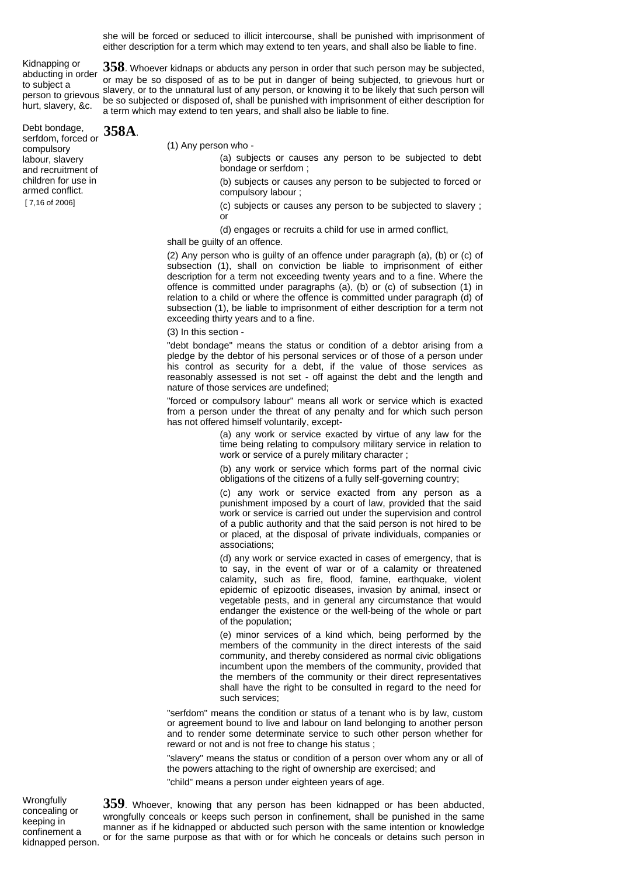she will be forced or seduced to illicit intercourse, shall be punished with imprisonment of either description for a term which may extend to ten years, and shall also be liable to fine.

**358**. Whoever kidnaps or abducts any person in order that such person may be subjected, or may be so disposed of as to be put in danger of being subjected, to grievous hurt or

be so subjected or disposed of, shall be punished with imprisonment of either description for

Kidnapping or abducting in order to subject a be subject a slavery, or to the unnatural lust of any person, or knowing it to be likely that such person will<br>person to grievous be so subjected as diappead of shall be numiphed with imprisonment of either description for hurt, slavery, &c.

Debt bondage, serfdom, forced or compulsory labour, slavery and recruitment of children for use in armed conflict. [ 7,16 of 2006] **358A**.

(1) Any person who -

a term which may extend to ten years, and shall also be liable to fine.

(a) subjects or causes any person to be subjected to debt bondage or serfdom ;

(b) subjects or causes any person to be subjected to forced or compulsory labour ;

(c) subjects or causes any person to be subjected to slavery ; or

(d) engages or recruits a child for use in armed conflict,

shall be guilty of an offence.

(2) Any person who is guilty of an offence under paragraph (a), (b) or (c) of subsection (1), shall on conviction be liable to imprisonment of either description for a term not exceeding twenty years and to a fine. Where the offence is committed under paragraphs (a), (b) or (c) of subsection (1) in relation to a child or where the offence is committed under paragraph (d) of subsection (1), be liable to imprisonment of either description for a term not exceeding thirty years and to a fine.

(3) In this section -

"debt bondage" means the status or condition of a debtor arising from a pledge by the debtor of his personal services or of those of a person under his control as security for a debt, if the value of those services as reasonably assessed is not set - off against the debt and the length and nature of those services are undefined;

"forced or compulsory labour" means all work or service which is exacted from a person under the threat of any penalty and for which such person has not offered himself voluntarily, except-

> (a) any work or service exacted by virtue of any law for the time being relating to compulsory military service in relation to work or service of a purely military character ;

> (b) any work or service which forms part of the normal civic obligations of the citizens of a fully self-governing country;

> (c) any work or service exacted from any person as a punishment imposed by a court of law, provided that the said work or service is carried out under the supervision and control of a public authority and that the said person is not hired to be or placed, at the disposal of private individuals, companies or associations;

> (d) any work or service exacted in cases of emergency, that is to say, in the event of war or of a calamity or threatened calamity, such as fire, flood, famine, earthquake, violent epidemic of epizootic diseases, invasion by animal, insect or vegetable pests, and in general any circumstance that would endanger the existence or the well-being of the whole or part of the population;

> (e) minor services of a kind which, being performed by the members of the community in the direct interests of the said community, and thereby considered as normal civic obligations incumbent upon the members of the community, provided that the members of the community or their direct representatives shall have the right to be consulted in regard to the need for such services;

"serfdom" means the condition or status of a tenant who is by law, custom or agreement bound to live and labour on land belonging to another person and to render some determinate service to such other person whether for reward or not and is not free to change his status ;

"slavery" means the status or condition of a person over whom any or all of the powers attaching to the right of ownership are exercised; and

"child" means a person under eighteen years of age.

**Wrongfully** concealing or keeping in confinement a kidnapped person.

**359**. Whoever, knowing that any person has been kidnapped or has been abducted, wrongfully conceals or keeps such person in confinement, shall be punished in the same manner as if he kidnapped or abducted such person with the same intention or knowledge or for the same purpose as that with or for which he conceals or detains such person in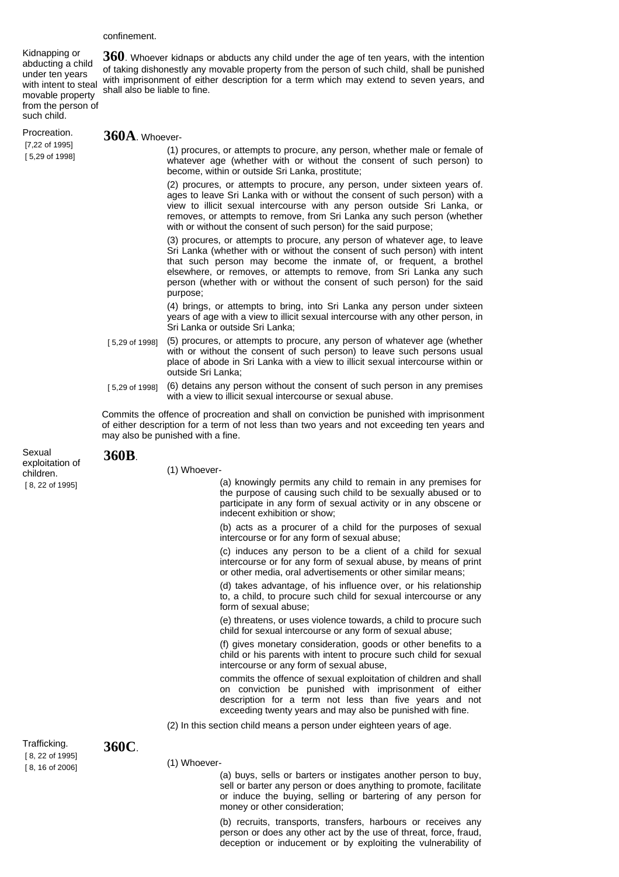#### confinement.

Kidnapping or abducting a child under ten years with intent to steal movable property from the person of such child.

Procreation. [7,22 of 1995] [ 5,29 of 1998]

**360**. Whoever kidnaps or abducts any child under the age of ten years, with the intention of taking dishonestly any movable property from the person of such child, shall be punished with imprisonment of either description for a term which may extend to seven years, and shall also be liable to fine.

**360A**. Whoever-

(1) procures, or attempts to procure, any person, whether male or female of whatever age (whether with or without the consent of such person) to become, within or outside Sri Lanka, prostitute;

(2) procures, or attempts to procure, any person, under sixteen years of. ages to leave Sri Lanka with or without the consent of such person) with a view to illicit sexual intercourse with any person outside Sri Lanka, or removes, or attempts to remove, from Sri Lanka any such person (whether with or without the consent of such person) for the said purpose;

(3) procures, or attempts to procure, any person of whatever age, to leave Sri Lanka (whether with or without the consent of such person) with intent that such person may become the inmate of, or frequent, a brothel elsewhere, or removes, or attempts to remove, from Sri Lanka any such person (whether with or without the consent of such person) for the said purpose;

(4) brings, or attempts to bring, into Sri Lanka any person under sixteen years of age with a view to illicit sexual intercourse with any other person, in Sri Lanka or outside Sri Lanka;

- [5,29 of 1998] (5) procures, or attempts to procure, any person of whatever age (whether with or without the consent of such person) to leave such persons usual place of abode in Sri Lanka with a view to illicit sexual intercourse within or outside Sri Lanka;
- [5,29 of 1998] (6) detains any person without the consent of such person in any premises with a view to illicit sexual intercourse or sexual abuse.

Commits the offence of procreation and shall on conviction be punished with imprisonment of either description for a term of not less than two years and not exceeding ten years and may also be punished with a fine.

Sexual exploitation of children. [ 8, 22 of 1995]

# **360B**.

(1) Whoever-

(a) knowingly permits any child to remain in any premises for the purpose of causing such child to be sexually abused or to participate in any form of sexual activity or in any obscene or indecent exhibition or show;

(b) acts as a procurer of a child for the purposes of sexual intercourse or for any form of sexual abuse;

(c) induces any person to be a client of a child for sexual intercourse or for any form of sexual abuse, by means of print or other media, oral advertisements or other similar means;

(d) takes advantage, of his influence over, or his relationship to, a child, to procure such child for sexual intercourse or any form of sexual abuse;

(e) threatens, or uses violence towards, a child to procure such child for sexual intercourse or any form of sexual abuse;

(f) gives monetary consideration, goods or other benefits to a child or his parents with intent to procure such child for sexual intercourse or any form of sexual abuse,

commits the offence of sexual exploitation of children and shall on conviction be punished with imprisonment of either description for a term not less than five years and not exceeding twenty years and may also be punished with fine.

(2) In this section child means a person under eighteen years of age.

Trafficking. [ 8, 22 of 1995] [ 8, 16 of 2006]

# **360C**.

(1) Whoever-

(a) buys, sells or barters or instigates another person to buy, sell or barter any person or does anything to promote, facilitate or induce the buying, selling or bartering of any person for money or other consideration;

(b) recruits, transports, transfers, harbours or receives any person or does any other act by the use of threat, force, fraud, deception or inducement or by exploiting the vulnerability of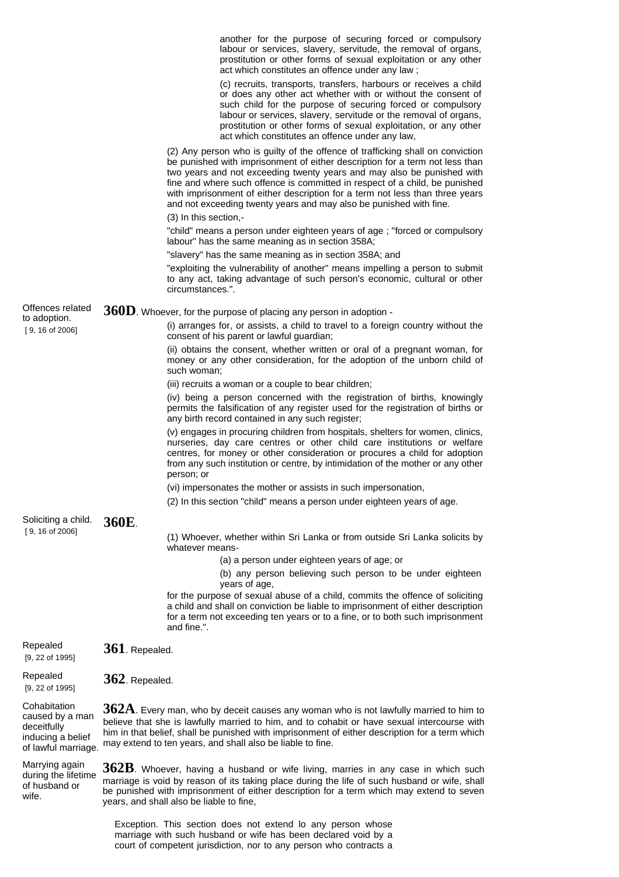|                                                                                            |                                                                                                                                                                                                                                                                                                                                                                | another for the purpose of securing forced or compulsory<br>labour or services, slavery, servitude, the removal of organs,<br>prostitution or other forms of sexual exploitation or any other<br>act which constitutes an offence under any law;<br>(c) recruits, transports, transfers, harbours or receives a child<br>or does any other act whether with or without the consent of<br>such child for the purpose of securing forced or compulsory<br>labour or services, slavery, servitude or the removal of organs,<br>prostitution or other forms of sexual exploitation, or any other<br>act which constitutes an offence under any law, |  |
|--------------------------------------------------------------------------------------------|----------------------------------------------------------------------------------------------------------------------------------------------------------------------------------------------------------------------------------------------------------------------------------------------------------------------------------------------------------------|-------------------------------------------------------------------------------------------------------------------------------------------------------------------------------------------------------------------------------------------------------------------------------------------------------------------------------------------------------------------------------------------------------------------------------------------------------------------------------------------------------------------------------------------------------------------------------------------------------------------------------------------------|--|
|                                                                                            |                                                                                                                                                                                                                                                                                                                                                                | (2) Any person who is guilty of the offence of trafficking shall on conviction<br>be punished with imprisonment of either description for a term not less than<br>two years and not exceeding twenty years and may also be punished with<br>fine and where such offence is committed in respect of a child, be punished<br>with imprisonment of either description for a term not less than three years<br>and not exceeding twenty years and may also be punished with fine.                                                                                                                                                                   |  |
|                                                                                            |                                                                                                                                                                                                                                                                                                                                                                | (3) In this section,-                                                                                                                                                                                                                                                                                                                                                                                                                                                                                                                                                                                                                           |  |
|                                                                                            |                                                                                                                                                                                                                                                                                                                                                                | "child" means a person under eighteen years of age; "forced or compulsory<br>labour" has the same meaning as in section 358A;                                                                                                                                                                                                                                                                                                                                                                                                                                                                                                                   |  |
|                                                                                            |                                                                                                                                                                                                                                                                                                                                                                | "slavery" has the same meaning as in section 358A; and<br>"exploiting the vulnerability of another" means impelling a person to submit<br>to any act, taking advantage of such person's economic, cultural or other<br>circumstances.".                                                                                                                                                                                                                                                                                                                                                                                                         |  |
| Offences related                                                                           |                                                                                                                                                                                                                                                                                                                                                                | $360D$ . Whoever, for the purpose of placing any person in adoption -                                                                                                                                                                                                                                                                                                                                                                                                                                                                                                                                                                           |  |
| to adoption.<br>[9, 16 of 2006]                                                            |                                                                                                                                                                                                                                                                                                                                                                | (i) arranges for, or assists, a child to travel to a foreign country without the<br>consent of his parent or lawful guardian;                                                                                                                                                                                                                                                                                                                                                                                                                                                                                                                   |  |
|                                                                                            |                                                                                                                                                                                                                                                                                                                                                                | (ii) obtains the consent, whether written or oral of a pregnant woman, for<br>money or any other consideration, for the adoption of the unborn child of<br>such woman;                                                                                                                                                                                                                                                                                                                                                                                                                                                                          |  |
|                                                                                            |                                                                                                                                                                                                                                                                                                                                                                | (iii) recruits a woman or a couple to bear children;                                                                                                                                                                                                                                                                                                                                                                                                                                                                                                                                                                                            |  |
|                                                                                            |                                                                                                                                                                                                                                                                                                                                                                | (iv) being a person concerned with the registration of births, knowingly<br>permits the falsification of any register used for the registration of births or<br>any birth record contained in any such register;                                                                                                                                                                                                                                                                                                                                                                                                                                |  |
|                                                                                            |                                                                                                                                                                                                                                                                                                                                                                | (v) engages in procuring children from hospitals, shelters for women, clinics,<br>nurseries, day care centres or other child care institutions or welfare<br>centres, for money or other consideration or procures a child for adoption<br>from any such institution or centre, by intimidation of the mother or any other<br>person; or                                                                                                                                                                                                                                                                                                        |  |
|                                                                                            |                                                                                                                                                                                                                                                                                                                                                                | (vi) impersonates the mother or assists in such impersonation,<br>(2) In this section "child" means a person under eighteen years of age.                                                                                                                                                                                                                                                                                                                                                                                                                                                                                                       |  |
| Soliciting a child.                                                                        | 360E.                                                                                                                                                                                                                                                                                                                                                          |                                                                                                                                                                                                                                                                                                                                                                                                                                                                                                                                                                                                                                                 |  |
| $[9, 16$ of 2006]                                                                          |                                                                                                                                                                                                                                                                                                                                                                | (1) Whoever, whether within Sri Lanka or from outside Sri Lanka solicits by<br>whatever means-                                                                                                                                                                                                                                                                                                                                                                                                                                                                                                                                                  |  |
|                                                                                            |                                                                                                                                                                                                                                                                                                                                                                | (a) a person under eighteen years of age; or                                                                                                                                                                                                                                                                                                                                                                                                                                                                                                                                                                                                    |  |
|                                                                                            |                                                                                                                                                                                                                                                                                                                                                                | (b) any person believing such person to be under eighteen<br>years of age,                                                                                                                                                                                                                                                                                                                                                                                                                                                                                                                                                                      |  |
|                                                                                            |                                                                                                                                                                                                                                                                                                                                                                | for the purpose of sexual abuse of a child, commits the offence of soliciting<br>a child and shall on conviction be liable to imprisonment of either description<br>for a term not exceeding ten years or to a fine, or to both such imprisonment<br>and fine.".                                                                                                                                                                                                                                                                                                                                                                                |  |
| Repealed<br>$[9, 22$ of 1995]                                                              | $361$ . Repealed.                                                                                                                                                                                                                                                                                                                                              |                                                                                                                                                                                                                                                                                                                                                                                                                                                                                                                                                                                                                                                 |  |
| Repealed<br>[9, 22 of 1995]                                                                | $362$ . Repealed.                                                                                                                                                                                                                                                                                                                                              |                                                                                                                                                                                                                                                                                                                                                                                                                                                                                                                                                                                                                                                 |  |
| Cohabitation<br>caused by a man<br>deceitfully<br>inducing a belief<br>of lawful marriage. | $362\text{A}$ . Every man, who by deceit causes any woman who is not lawfully married to him to<br>believe that she is lawfully married to him, and to cohabit or have sexual intercourse with<br>him in that belief, shall be punished with imprisonment of either description for a term which<br>may extend to ten years, and shall also be liable to fine. |                                                                                                                                                                                                                                                                                                                                                                                                                                                                                                                                                                                                                                                 |  |
| Marrying again<br>during the lifetime<br>of husband or<br>wife.                            |                                                                                                                                                                                                                                                                                                                                                                | $362B$ . Whoever, having a husband or wife living, marries in any case in which such<br>marriage is void by reason of its taking place during the life of such husband or wife, shall<br>be punished with imprisonment of either description for a term which may extend to seven<br>years, and shall also be liable to fine,                                                                                                                                                                                                                                                                                                                   |  |
|                                                                                            |                                                                                                                                                                                                                                                                                                                                                                | Exception. This section does not extend lo any person whose                                                                                                                                                                                                                                                                                                                                                                                                                                                                                                                                                                                     |  |

marriage with such husband or wife has been declared void by a court of competent jurisdiction, nor to any person who contracts a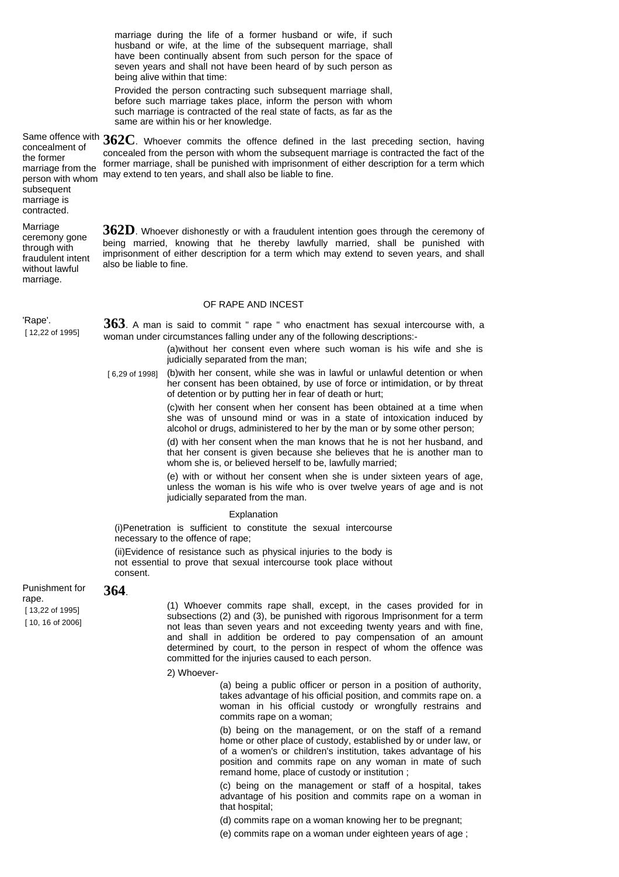marriage during the life of a former husband or wife, if such husband or wife, at the lime of the subsequent marriage, shall have been continually absent from such person for the space of seven years and shall not have been heard of by such person as being alive within that time:

Provided the person contracting such subsequent marriage shall, before such marriage takes place, inform the person with whom such marriage is contracted of the real state of facts, as far as the same are within his or her knowledge.

Same offence with Same offence with **362C**. Whoever commits the offence defined in the last preceding section, having concealment of approached from the person with when the subsequent merrices is contracted the foot of the the former marriage from the person with whom subsequent marriage is contracted. concealed from the person with whom the subsequent marriage is contracted the fact of the former marriage, shall be punished with imprisonment of either description for a term which may extend to ten years, and shall also be liable to fine.

Marriage ceremony gone through with fraudulent intent without lawful marriage.

**362D**. Whoever dishonestly or with a fraudulent intention goes through the ceremony of being married, knowing that he thereby lawfully married, shall be punished with imprisonment of either description for a term which may extend to seven years, and shall also be liable to fine.

## OF RAPE AND INCEST

#### 'Rape'.

[ 12,22 of 1995]

**363**. A man is said to commit " rape " who enactment has sexual intercourse with, a woman under circumstances falling under any of the following descriptions:-

> (a)without her consent even where such woman is his wife and she is judicially separated from the man;

[6,29 of 1998] (b) with her consent, while she was in lawful or unlawful detention or when her consent has been obtained, by use of force or intimidation, or by threat of detention or by putting her in fear of death or hurt;

> (c)with her consent when her consent has been obtained at a time when she was of unsound mind or was in a state of intoxication induced by alcohol or drugs, administered to her by the man or by some other person;

> (d) with her consent when the man knows that he is not her husband, and that her consent is given because she believes that he is another man to whom she is, or believed herself to be, lawfully married;

> (e) with or without her consent when she is under sixteen years of age, unless the woman is his wife who is over twelve years of age and is not judicially separated from the man.

#### Explanation

(i)Penetration is sufficient to constitute the sexual intercourse necessary to the offence of rape;

(ii)Evidence of resistance such as physical injuries to the body is not essential to prove that sexual intercourse took place without consent.

| Punishment for<br>rape.<br>[13,22 of 1995]<br>[10, 16 of 2006] | 364. | (1) Whoever commits rape shall, except, in the cases provided for in<br>subsections (2) and (3), be punished with rigorous Imprisonment for a term<br>not leas than seven years and not exceeding twenty years and with fine,<br>and shall in addition be ordered to pay compensation of an amount<br>determined by court, to the person in respect of whom the offence was<br>committed for the injuries caused to each person. |
|----------------------------------------------------------------|------|----------------------------------------------------------------------------------------------------------------------------------------------------------------------------------------------------------------------------------------------------------------------------------------------------------------------------------------------------------------------------------------------------------------------------------|
|                                                                |      | 2) Whoever-                                                                                                                                                                                                                                                                                                                                                                                                                      |
|                                                                |      | (a) being a public officer or person in a position of authority,<br>takes advantage of his official position, and commits rape on. a<br>woman in his official custody or wrongfully restrains and                                                                                                                                                                                                                                |

commits rape on a woman; (b) being on the management, or on the staff of a remand home or other place of custody, established by or under law, or of a women's or children's institution, takes advantage of his position and commits rape on any woman in mate of such remand home, place of custody or institution ;

(c) being on the management or staff of a hospital, takes advantage of his position and commits rape on a woman in that hospital;

(d) commits rape on a woman knowing her to be pregnant;

(e) commits rape on a woman under eighteen years of age ;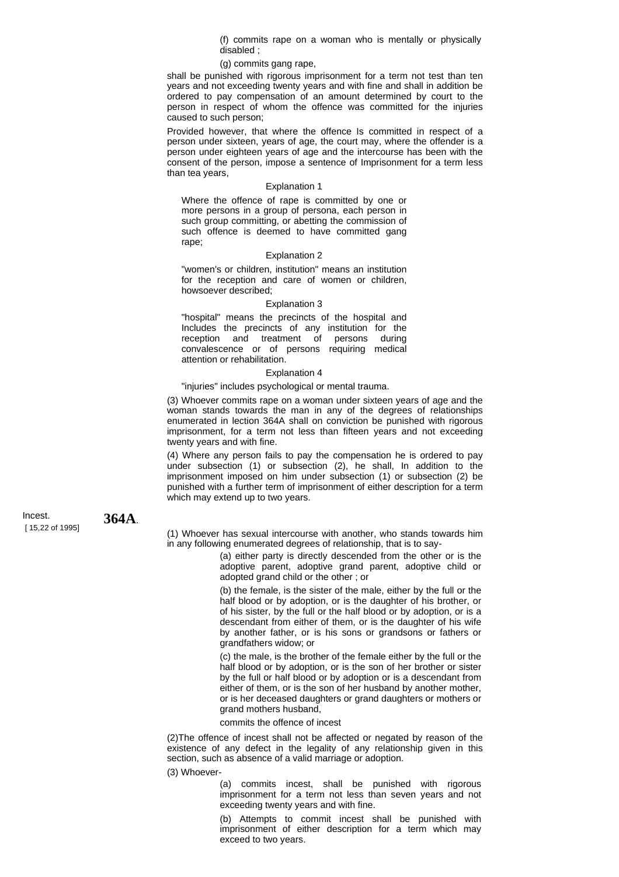(f) commits rape on a woman who is mentally or physically disabled ;

#### (g) commits gang rape,

shall be punished with rigorous imprisonment for a term not test than ten years and not exceeding twenty years and with fine and shall in addition be ordered to pay compensation of an amount determined by court to the person in respect of whom the offence was committed for the injuries caused to such person;

Provided however, that where the offence Is committed in respect of a person under sixteen, years of age, the court may, where the offender is a person under eighteen years of age and the intercourse has been with the consent of the person, impose a sentence of Imprisonment for a term less than tea years,

### Explanation 1

Where the offence of rape is committed by one or more persons in a group of persona, each person in such group committing, or abetting the commission of such offence is deemed to have committed gang rape;

#### Explanation 2

"women's or children, institution" means an institution for the reception and care of women or children, howsoever described;

#### Explanation 3

"hospital" means the precincts of the hospital and Includes the precincts of any institution for the reception and treatment of persons during convalescence or of persons requiring medical attention or rehabilitation.

#### Explanation 4

"injuries" includes psychological or mental trauma.

(3) Whoever commits rape on a woman under sixteen years of age and the woman stands towards the man in any of the degrees of relationships enumerated in lection 364A shall on conviction be punished with rigorous imprisonment, for a term not less than fifteen years and not exceeding twenty years and with fine.

(4) Where any person fails to pay the compensation he is ordered to pay under subsection (1) or subsection (2), he shall, In addition to the imprisonment imposed on him under subsection (1) or subsection (2) be punished with a further term of imprisonment of either description for a term which may extend up to two years.

(1) Whoever has sexual intercourse with another, who stands towards him in any following enumerated degrees of relationship, that is to say-

> (a) either party is directly descended from the other or is the adoptive parent, adoptive grand parent, adoptive child or adopted grand child or the other ; or

> (b) the female, is the sister of the male, either by the full or the half blood or by adoption, or is the daughter of his brother, or of his sister, by the full or the half blood or by adoption, or is a descendant from either of them, or is the daughter of his wife by another father, or is his sons or grandsons or fathers or grandfathers widow; or

> (c) the male, is the brother of the female either by the full or the half blood or by adoption, or is the son of her brother or sister by the full or half blood or by adoption or is a descendant from either of them, or is the son of her husband by another mother, or is her deceased daughters or grand daughters or mothers or grand mothers husband,

commits the offence of incest

(2)The offence of incest shall not be affected or negated by reason of the existence of any defect in the legality of any relationship given in this section, such as absence of a valid marriage or adoption.

(3) Whoever-

(a) commits incest, shall be punished with rigorous imprisonment for a term not less than seven years and not exceeding twenty years and with fine.

(b) Attempts to commit incest shall be punished with imprisonment of either description for a term which may exceed to two years.

Incest. [ 15,22 of 1995] **364A**.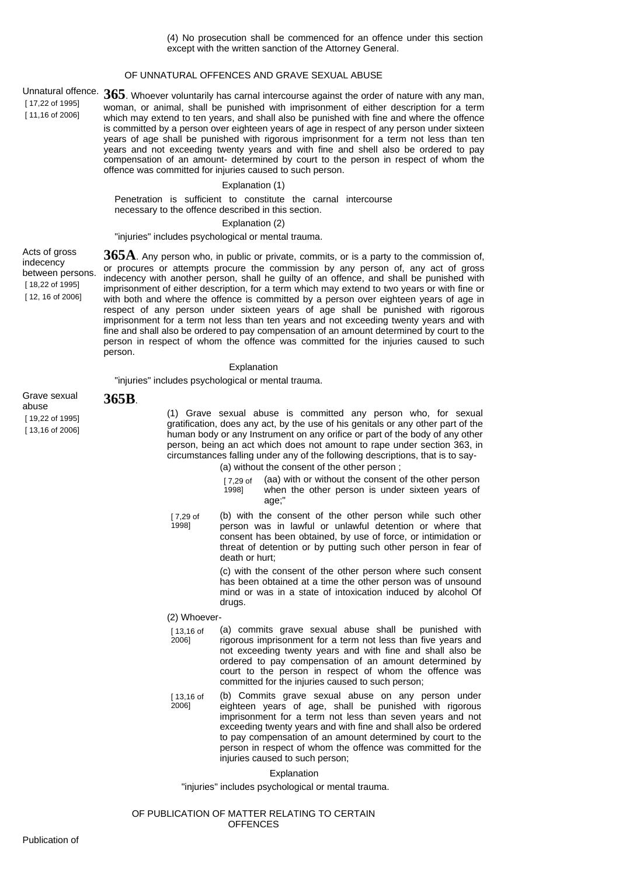# OF UNNATURAL OFFENCES AND GRAVE SEXUAL ABUSE

Unnatural offence. **365**. Whoever voluntarily has carnal intercourse against the order of nature with any man, woman, or animal, shall be punished with imprisonment of either description for a term which may extend to ten years, and shall also be punished with fine and where the offence is committed by a person over eighteen years of age in respect of any person under sixteen years of age shall be punished with rigorous imprisonment for a term not less than ten years and not exceeding twenty years and with fine and shell also be ordered to pay compensation of an amount- determined by court to the person in respect of whom the offence was committed for injuries caused to such person.

#### Explanation (1)

Penetration is sufficient to constitute the carnal intercourse necessary to the offence described in this section.

#### Explanation (2)

### "injuries" includes psychological or mental trauma.

Acts of gross indecency between persons. [ 18,22 of 1995] [ 12, 16 of 2006]

[ 17,22 of 1995] [ 11,16 of 2006]

> **365A**. Any person who, in public or private, commits, or is a party to the commission of, or procures or attempts procure the commission by any person of, any act of gross indecency with another person, shall he guilty of an offence, and shall be punished with imprisonment of either description, for a term which may extend to two years or with fine or with both and where the offence is committed by a person over eighteen years of age in respect of any person under sixteen years of age shall be punished with rigorous imprisonment for a term not less than ten years and not exceeding twenty years and with fine and shall also be ordered to pay compensation of an amount determined by court to the person in respect of whom the offence was committed for the injuries caused to such person.

#### Explanation

"injuries" includes psychological or mental trauma.

#### Grave sexual **365B**.

abuse [ 19,22 of 1995] [ 13,16 of 2006]

(1) Grave sexual abuse is committed any person who, for sexual gratification, does any act, by the use of his genitals or any other part of the human body or any Instrument on any orifice or part of the body of any other person, being an act which does not amount to rape under section 363, in circumstances falling under any of the following descriptions, that is to say-

- (a) without the consent of the other person ;
	- [ 7,29 of 1998] (aa) with or without the consent of the other person when the other person is under sixteen years of age;"
- [ 7,29 of 1998] (b) with the consent of the other person while such other person was in lawful or unlawful detention or where that consent has been obtained, by use of force, or intimidation or threat of detention or by putting such other person in fear of death or hurt;

(c) with the consent of the other person where such consent has been obtained at a time the other person was of unsound mind or was in a state of intoxication induced by alcohol Of drugs.

#### (2) Whoever-

- [ 13,16 of 2006] (a) commits grave sexual abuse shall be punished with rigorous imprisonment for a term not less than five years and not exceeding twenty years and with fine and shall also be ordered to pay compensation of an amount determined by court to the person in respect of whom the offence was committed for the injuries caused to such person;
- [ 13,16 of  $20061$ (b) Commits grave sexual abuse on any person under eighteen years of age, shall be punished with rigorous imprisonment for a term not less than seven years and not exceeding twenty years and with fine and shall also be ordered to pay compensation of an amount determined by court to the person in respect of whom the offence was committed for the injuries caused to such person;

#### Explanation

"injuries" includes psychological or mental trauma.

OF PUBLICATION OF MATTER RELATING TO CERTAIN **OFFENCES**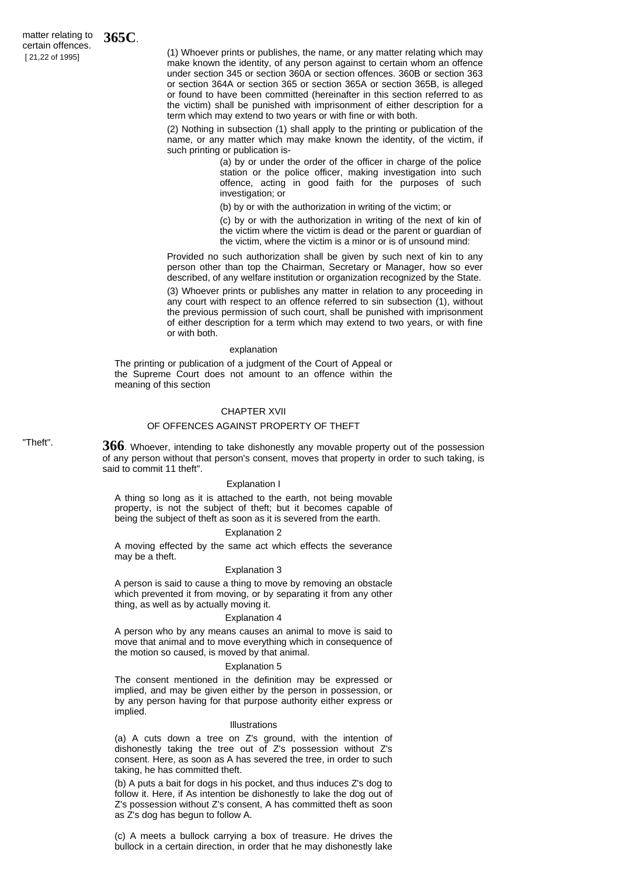matter relating to certain offences. [ 21,22 of 1995] **365C**.

(1) Whoever prints or publishes, the name, or any matter relating which may make known the identity, of any person against to certain whom an offence under section 345 or section 360A or section offences. 360B or section 363 or section 364A or section 365 or section 365A or section 365B, is alleged or found to have been committed (hereinafter in this section referred to as the victim) shall be punished with imprisonment of either description for a term which may extend to two years or with fine or with both.

(2) Nothing in subsection (1) shall apply to the printing or publication of the name, or any matter which may make known the identity, of the victim, if such printing or publication is-

> (a) by or under the order of the officer in charge of the police station or the police officer, making investigation into such offence, acting in good faith for the purposes of such investigation; or

(b) by or with the authorization in writing of the victim; or

(c) by or with the authorization in writing of the next of kin of the victim where the victim is dead or the parent or guardian of the victim, where the victim is a minor or is of unsound mind:

Provided no such authorization shall be given by such next of kin to any person other than top the Chairman, Secretary or Manager, how so ever described, of any welfare institution or organization recognized by the State.

(3) Whoever prints or publishes any matter in relation to any proceeding in any court with respect to an offence referred to sin subsection (1), without the previous permission of such court, shall be punished with imprisonment of either description for a term which may extend to two years, or with fine or with both.

#### explanation

The printing or publication of a judgment of the Court of Appeal or the Supreme Court does not amount to an offence within the meaning of this section

#### CHAPTER XVII

#### OF OFFENCES AGAINST PROPERTY OF THEFT

"Theft". **366**. Whoever, intending to take dishonestly any movable property out of the possession of any person without that person's consent, moves that property in order to such taking, is said to commit 11 theft".

#### Explanation I

A thing so long as it is attached to the earth, not being movable property, is not the subject of theft; but it becomes capable of being the subject of theft as soon as it is severed from the earth.

#### Explanation 2

A moving effected by the same act which effects the severance may be a theft.

#### Explanation 3

A person is said to cause a thing to move by removing an obstacle which prevented it from moving, or by separating it from any other thing, as well as by actually moving it.

#### Explanation 4

A person who by any means causes an animal to move is said to move that animal and to move everything which in consequence of the motion so caused, is moved by that animal.

#### Explanation 5

The consent mentioned in the definition may be expressed or implied, and may be given either by the person in possession, or by any person having for that purpose authority either express or implied.

#### Illustrations

(a) A cuts down a tree on Z's ground, with the intention of dishonestly taking the tree out of Z's possession without Z's consent. Here, as soon as A has severed the tree, in order to such taking, he has committed theft.

(b) A puts a bait for dogs in his pocket, and thus induces Z's dog to follow it. Here, if As intention be dishonestly to lake the dog out of Z's possession without Z's consent, A has committed theft as soon as Z's dog has begun to follow A.

(c) A meets a bullock carrying a box of treasure. He drives the bullock in a certain direction, in order that he may dishonestly lake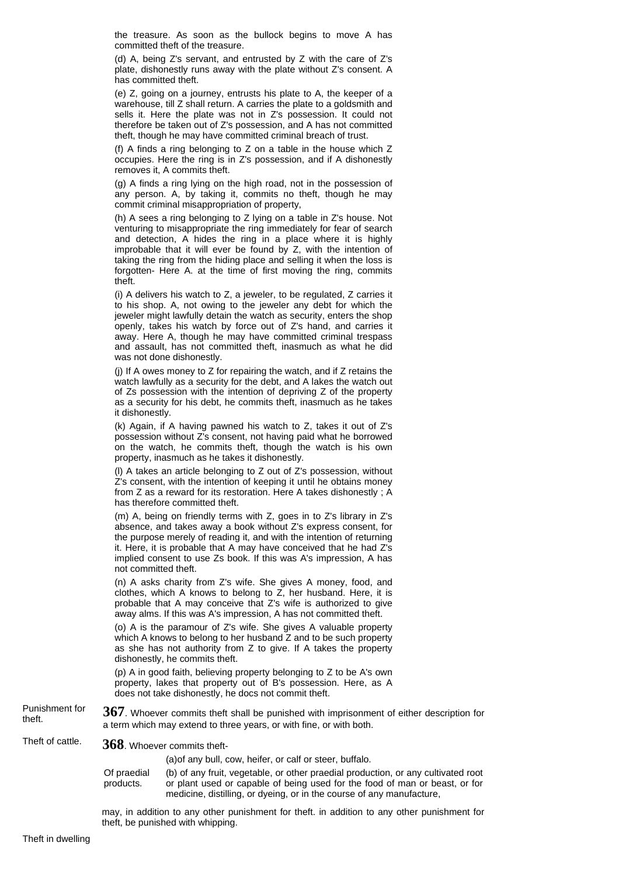the treasure. As soon as the bullock begins to move A has committed theft of the treasure.

(d) A, being Z's servant, and entrusted by Z with the care of Z's plate, dishonestly runs away with the plate without Z's consent. A has committed theft.

(e) Z, going on a journey, entrusts his plate to A, the keeper of a warehouse, till Z shall return. A carries the plate to a goldsmith and sells it. Here the plate was not in Z's possession. It could not therefore be taken out of Z's possession, and A has not committed theft, though he may have committed criminal breach of trust.

(f) A finds a ring belonging to Z on a table in the house which Z occupies. Here the ring is in Z's possession, and if A dishonestly removes it, A commits theft.

(g) A finds a ring lying on the high road, not in the possession of any person. A, by taking it, commits no theft, though he may commit criminal misappropriation of property,

(h) A sees a ring belonging to Z lying on a table in Z's house. Not venturing to misappropriate the ring immediately for fear of search and detection, A hides the ring in a place where it is highly improbable that it will ever be found by Z, with the intention of taking the ring from the hiding place and selling it when the loss is forgotten- Here A. at the time of first moving the ring, commits theft.

(i) A delivers his watch to Z, a jeweler, to be regulated, Z carries it to his shop. A, not owing to the jeweler any debt for which the jeweler might lawfully detain the watch as security, enters the shop openly, takes his watch by force out of Z's hand, and carries it away. Here A, though he may have committed criminal trespass and assault, has not committed theft, inasmuch as what he did was not done dishonestly.

(j) If A owes money to Z for repairing the watch, and if Z retains the watch lawfully as a security for the debt, and A lakes the watch out of Zs possession with the intention of depriving Z of the property as a security for his debt, he commits theft, inasmuch as he takes it dishonestly.

(k) Again, if A having pawned his watch to Z, takes it out of Z's possession without Z's consent, not having paid what he borrowed on the watch, he commits theft, though the watch is his own property, inasmuch as he takes it dishonestly.

(l) A takes an article belonging to Z out of Z's possession, without Z's consent, with the intention of keeping it until he obtains money from Z as a reward for its restoration. Here A takes dishonestly ; A has therefore committed theft.

(m) A, being on friendly terms with Z, goes in to Z's library in Z's absence, and takes away a book without Z's express consent, for the purpose merely of reading it, and with the intention of returning it. Here, it is probable that A may have conceived that he had Z's implied consent to use Zs book. If this was A's impression, A has not committed theft.

(n) A asks charity from Z's wife. She gives A money, food, and clothes, which A knows to belong to Z, her husband. Here, it is probable that A may conceive that Z's wife is authorized to give away alms. If this was A's impression, A has not committed theft.

(o) A is the paramour of Z's wife. She gives A valuable property which A knows to belong to her husband Z and to be such property as she has not authority from Z to give. If A takes the property dishonestly, he commits theft.

(p) A in good faith, believing property belonging to Z to be A's own property, lakes that property out of B's possession. Here, as A does not take dishonestly, he docs not commit theft.

Punishment for Punishment for **367**. Whoever commits theft shall be punished with imprisonment of either description for theft a term which may extend to three years, or with fine, or with both.

Theft of cattle. **368**. Whoever commits theft-

(a)of any bull, cow, heifer, or calf or steer, buffalo.

Of praedial products. (b) of any fruit, vegetable, or other praedial production, or any cultivated root or plant used or capable of being used for the food of man or beast, or for medicine, distilling, or dyeing, or in the course of any manufacture,

may, in addition to any other punishment for theft. in addition to any other punishment for theft, be punished with whipping.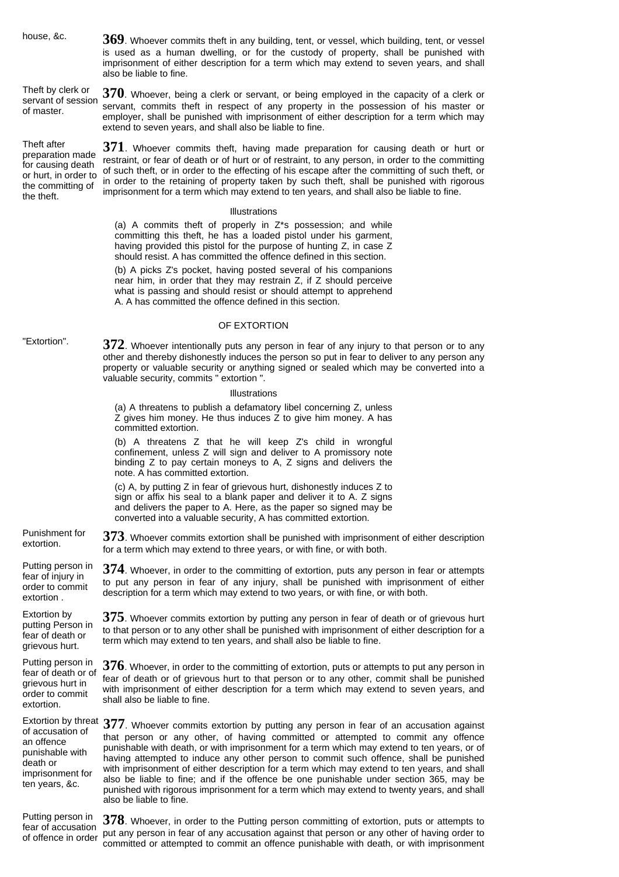house, &c. **369**. Whoever commits theft in any building, tent, or vessel, which building, tent, or vessel is used as a human dwelling, or for the custody of property, shall be punished with imprisonment of either description for a term which may extend to seven years, and shall also be liable to fine. Theft by clerk or servant of session of master. **370**. Whoever, being a clerk or servant, or being employed in the capacity of a clerk or servant, commits theft in respect of any property in the possession of his master or employer, shall be punished with imprisonment of either description for a term which may extend to seven years, and shall also be liable to fine. Theft after preparation made for causing death or hurt, in order to the committing of the theft. **371**. Whoever commits theft, having made preparation for causing death or hurt or restraint, or fear of death or of hurt or of restraint, to any person, in order to the committing of such theft, or in order to the effecting of his escape after the committing of such theft, or in order to the retaining of property taken by such theft, shall be punished with rigorous imprisonment for a term which may extend to ten years, and shall also be liable to fine. Illustrations (a) A commits theft of properly in Z\*s possession; and while committing this theft, he has a loaded pistol under his garment, having provided this pistol for the purpose of hunting Z, in case Z should resist. A has committed the offence defined in this section. (b) A picks Z's pocket, having posted several of his companions near him, in order that they may restrain Z, if Z should perceive what is passing and should resist or should attempt to apprehend A. A has committed the offence defined in this section. OF EXTORTION "Extortion". **372**. Whoever intentionally puts any person in fear of any injury to that person or to any other and thereby dishonestly induces the person so put in fear to deliver to any person any property or valuable security or anything signed or sealed which may be converted into a valuable security, commits " extortion ". Illustrations (a) A threatens to publish a defamatory libel concerning Z, unless Z gives him money. He thus induces Z to give him money. A has committed extortion. (b) A threatens Z that he will keep Z's child in wrongful confinement, unless Z will sign and deliver to A promissory note binding Z to pay certain moneys to A, Z signs and delivers the note. A has committed extortion. (c) A, by putting Z in fear of grievous hurt, dishonestly induces Z to sign or affix his seal to a blank paper and deliver it to A. Z signs and delivers the paper to A. Here, as the paper so signed may be converted into a valuable security, A has committed extortion. Punishment for extortion. **373**. Whoever commits extortion shall be punished with imprisonment of either description for a term which may extend to three years, or with fine, or with both. Putting person in fear of injury in order to commit extortion . **374**. Whoever, in order to the committing of extortion, puts any person in fear or attempts to put any person in fear of any injury, shall be punished with imprisonment of either description for a term which may extend to two years, or with fine, or with both. Extortion by putting Person in fear of death or grievous hurt. **375**. Whoever commits extortion by putting any person in fear of death or of grievous hurt to that person or to any other shall be punished with imprisonment of either description for a term which may extend to ten years, and shall also be liable to fine. Putting person in fear of death or of grievous hurt in order to commit extortion. **376**. Whoever, in order to the committing of extortion, puts or attempts to put any person in fear of death or of grievous hurt to that person or to any other, commit shall be punished with imprisonment of either description for a term which may extend to seven years, and shall also be liable to fine. Extortion by threat 377. Whoever commits extortion by putting any person in fear of an accusation against of accusation of an offence punishable with death or imprisonment for ten years, &c. that person or any other, of having committed or attempted to commit any offence punishable with death, or with imprisonment for a term which may extend to ten years, or of having attempted to induce any other person to commit such offence, shall be punished with imprisonment of either description for a term which may extend to ten years, and shall also be liable to fine; and if the offence be one punishable under section 365, may be punished with rigorous imprisonment for a term which may extend to twenty years, and shall also be liable to fine. Putting person in

fear of accusation of offence in order **378**. Whoever, in order to the Putting person committing of extortion, puts or attempts to put any person in fear of any accusation against that person or any other of having order to committed or attempted to commit an offence punishable with death, or with imprisonment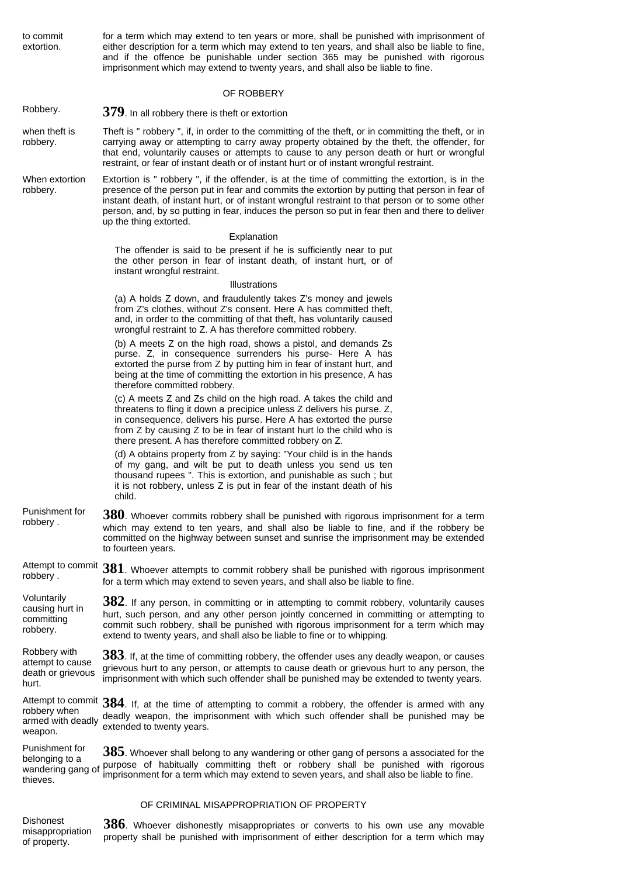for a term which may extend to ten years or more, shall be punished with imprisonment of either description for a term which may extend to ten years, and shall also be liable to fine, and if the offence be punishable under section 365 may be punished with rigorous imprisonment which may extend to twenty years, and shall also be liable to fine.

#### OF ROBBERY

# Robbery. **379**. In all robbery there is theft or extortion

to commit extortion.

when theft is robbery. Theft is " robbery ", if, in order to the committing of the theft, or in committing the theft, or in carrying away or attempting to carry away property obtained by the theft, the offender, for that end, voluntarily causes or attempts to cause to any person death or hurt or wrongful restraint, or fear of instant death or of instant hurt or of instant wrongful restraint.

When extortion robbery. Extortion is " robbery ", if the offender, is at the time of committing the extortion, is in the presence of the person put in fear and commits the extortion by putting that person in fear of instant death, of instant hurt, or of instant wrongful restraint to that person or to some other person, and, by so putting in fear, induces the person so put in fear then and there to deliver up the thing extorted.

#### Explanation

The offender is said to be present if he is sufficiently near to put the other person in fear of instant death, of instant hurt, or of instant wrongful restraint.

# Illustrations

(a) A holds Z down, and fraudulently takes Z's money and jewels from Z's clothes, without Z's consent. Here A has committed theft, and, in order to the committing of that theft, has voluntarily caused wrongful restraint to Z. A has therefore committed robbery.

(b) A meets Z on the high road, shows a pistol, and demands Zs purse. Z, in consequence surrenders his purse- Here A has extorted the purse from Z by putting him in fear of instant hurt, and being at the time of committing the extortion in his presence, A has therefore committed robbery.

(c) A meets Z and Zs child on the high road. A takes the child and threatens to fling it down a precipice unless Z delivers his purse. Z, in consequence, delivers his purse. Here A has extorted the purse from Z by causing Z to be in fear of instant hurt lo the child who is there present. A has therefore committed robbery on Z.

(d) A obtains property from Z by saying: "Your child is in the hands of my gang, and wilt be put to death unless you send us ten thousand rupees ". This is extortion, and punishable as such ; but it is not robbery, unless Z is put in fear of the instant death of his child.

Punishment for robbery . **380**. Whoever commits robbery shall be punished with rigorous imprisonment for a term which may extend to ten years, and shall also be liable to fine, and if the robbery be committed on the highway between sunset and sunrise the imprisonment may be extended to fourteen years.

Attempt to commit **381**. Whoever attempts to commit robbery shall be punished with rigorous imprisonment robbery . for a term which may extend to seven years, and shall also be liable to fine.

Voluntarily causing hurt in committing robbery. **382**. If any person, in committing or in attempting to commit robbery, voluntarily causes hurt, such person, and any other person jointly concerned in committing or attempting to commit such robbery, shall be punished with rigorous imprisonment for a term which may extend to twenty years, and shall also be liable to fine or to whipping.

Robbery with attempt to cause death or grievous hurt. **383**. If, at the time of committing robbery, the offender uses any deadly weapon, or causes grievous hurt to any person, or attempts to cause death or grievous hurt to any person, the imprisonment with which such offender shall be punished may be extended to twenty years.

Attempt to commit **384**. If, at the time of attempting to commit a robbery, the offender is armed with any robbery when armed with deadly weapon. deadly weapon, the imprisonment with which such offender shall be punished may be extended to twenty years.

Punishment for belonging to a wandering gang of thieves. **385**. Whoever shall belong to any wandering or other gang of persons a associated for the purpose of habitually committing theft or robbery shall be punished with rigorous imprisonment for a term which may extend to seven years, and shall also be liable to fine.

## OF CRIMINAL MISAPPROPRIATION OF PROPERTY

Dishonest misappropriation of property.

**386**. Whoever dishonestly misappropriates or converts to his own use any movable property shall be punished with imprisonment of either description for a term which may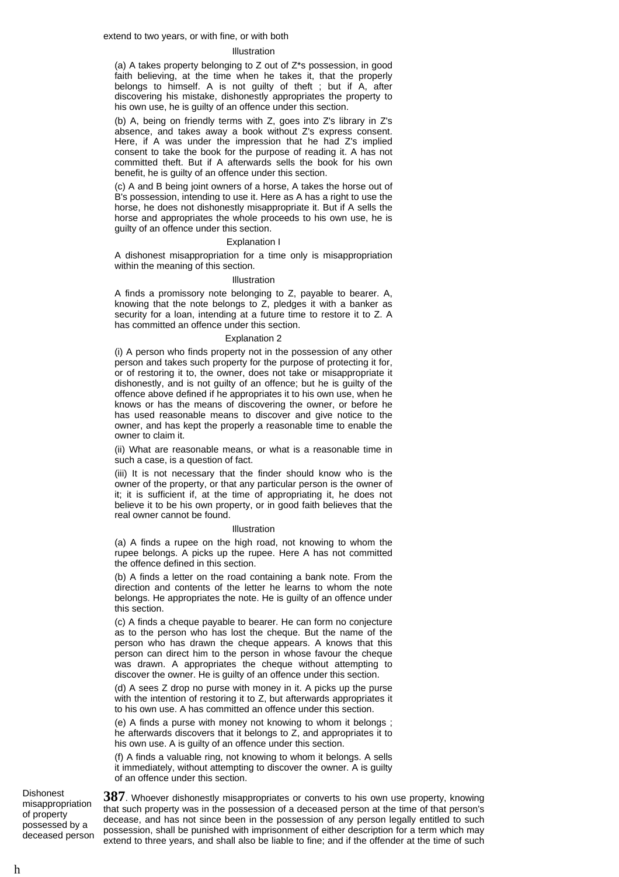#### Illustration

(a) A takes property belonging to Z out of Z\*s possession, in good faith believing, at the time when he takes it, that the properly belongs to himself. A is not guilty of theft ; but if A, after discovering his mistake, dishonestly appropriates the property to his own use, he is guilty of an offence under this section.

(b) A, being on friendly terms with Z, goes into Z's library in Z's absence, and takes away a book without Z's express consent. Here, if A was under the impression that he had Z's implied consent to take the book for the purpose of reading it. A has not committed theft. But if A afterwards sells the book for his own benefit, he is guilty of an offence under this section.

(c) A and B being joint owners of a horse, A takes the horse out of B's possession, intending to use it. Here as A has a right to use the horse, he does not dishonestly misappropriate it. But if A sells the horse and appropriates the whole proceeds to his own use, he is guilty of an offence under this section.

#### Explanation I

A dishonest misappropriation for a time only is misappropriation within the meaning of this section.

#### Illustration

A finds a promissory note belonging to Z, payable to bearer. A, knowing that the note belongs to Z, pledges it with a banker as security for a loan, intending at a future time to restore it to Z. A has committed an offence under this section.

#### Explanation 2

(i) A person who finds property not in the possession of any other person and takes such property for the purpose of protecting it for, or of restoring it to, the owner, does not take or misappropriate it dishonestly, and is not guilty of an offence; but he is guilty of the offence above defined if he appropriates it to his own use, when he knows or has the means of discovering the owner, or before he has used reasonable means to discover and give notice to the owner, and has kept the properly a reasonable time to enable the owner to claim it.

(ii) What are reasonable means, or what is a reasonable time in such a case, is a question of fact.

(iii) It is not necessary that the finder should know who is the owner of the property, or that any particular person is the owner of it; it is sufficient if, at the time of appropriating it, he does not believe it to be his own property, or in good faith believes that the real owner cannot be found.

#### Illustration

(a) A finds a rupee on the high road, not knowing to whom the rupee belongs. A picks up the rupee. Here A has not committed the offence defined in this section.

(b) A finds a letter on the road containing a bank note. From the direction and contents of the letter he learns to whom the note belongs. He appropriates the note. He is guilty of an offence under this section.

(c) A finds a cheque payable to bearer. He can form no conjecture as to the person who has lost the cheque. But the name of the person who has drawn the cheque appears. A knows that this person can direct him to the person in whose favour the cheque was drawn. A appropriates the cheque without attempting to discover the owner. He is guilty of an offence under this section.

(d) A sees Z drop no purse with money in it. A picks up the purse with the intention of restoring it to Z, but afterwards appropriates it to his own use. A has committed an offence under this section.

(e) A finds a purse with money not knowing to whom it belongs ; he afterwards discovers that it belongs to Z, and appropriates it to his own use. A is guilty of an offence under this section.

(f) A finds a valuable ring, not knowing to whom it belongs. A sells it immediately, without attempting to discover the owner. A is guilty of an offence under this section.

Dishonest misappropriation of property possessed by a deceased person

**387**. Whoever dishonestly misappropriates or converts to his own use property, knowing that such property was in the possession of a deceased person at the time of that person's decease, and has not since been in the possession of any person legally entitled to such possession, shall be punished with imprisonment of either description for a term which may extend to three years, and shall also be liable to fine; and if the offender at the time of such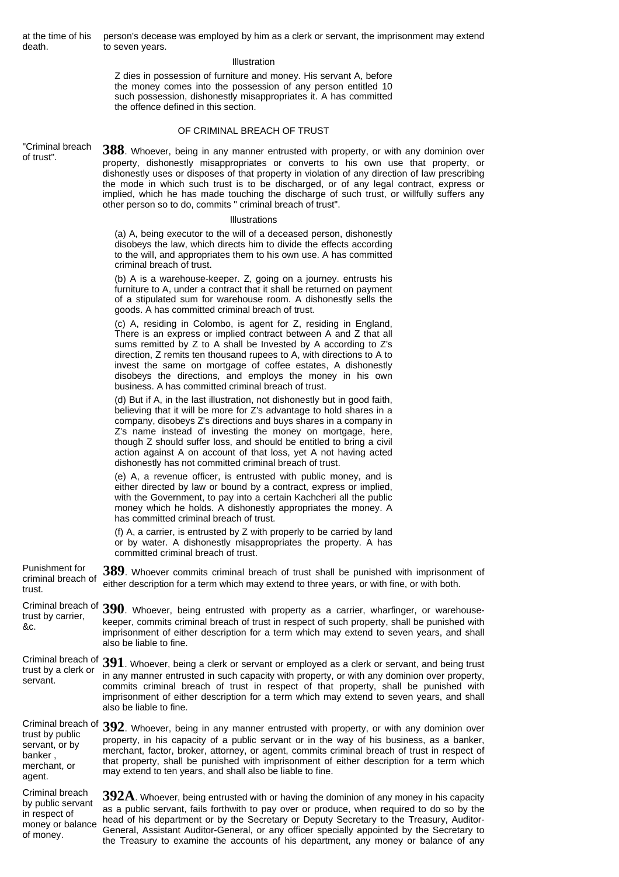at the time of his death. person's decease was employed by him as a clerk or servant, the imprisonment may extend to seven years.

#### Illustration

Z dies in possession of furniture and money. His servant A, before the money comes into the possession of any person entitled 10 such possession, dishonestly misappropriates it. A has committed the offence defined in this section.

# OF CRIMINAL BREACH OF TRUST

"Criminal breach

"Criminal breach 388. Whoever, being in any manner entrusted with property, or with any dominion over<br>of trust". property, dishonestly misappropriates or converts to his own use that property, or dishonestly uses or disposes of that property in violation of any direction of law prescribing the mode in which such trust is to be discharged, or of any legal contract, express or implied, which he has made touching the discharge of such trust, or willfully suffers any other person so to do, commits " criminal breach of trust".

#### Illustrations

(a) A, being executor to the will of a deceased person, dishonestly disobeys the law, which directs him to divide the effects according to the will, and appropriates them to his own use. A has committed criminal breach of trust.

(b) A is a warehouse-keeper. Z, going on a journey. entrusts his furniture to A, under a contract that it shall be returned on payment of a stipulated sum for warehouse room. A dishonestly sells the goods. A has committed criminal breach of trust.

(c) A, residing in Colombo, is agent for Z, residing in England, There is an express or implied contract between A and Z that all sums remitted by Z to A shall be Invested by A according to Z's direction, Z remits ten thousand rupees to A, with directions to A to invest the same on mortgage of coffee estates, A dishonestly disobeys the directions, and employs the money in his own business. A has committed criminal breach of trust.

(d) But if A, in the last illustration, not dishonestly but in good faith, believing that it will be more for Z's advantage to hold shares in a company, disobeys Z's directions and buys shares in a company in Z's name instead of investing the money on mortgage, here, though Z should suffer loss, and should be entitled to bring a civil action against A on account of that loss, yet A not having acted dishonestly has not committed criminal breach of trust.

(e) A, a revenue officer, is entrusted with public money, and is either directed by law or bound by a contract, express or implied, with the Government, to pay into a certain Kachcheri all the public money which he holds. A dishonestly appropriates the money. A has committed criminal breach of trust.

(f) A, a carrier, is entrusted by Z with properly to be carried by land or by water. A dishonestly misappropriates the property. A has committed criminal breach of trust.

Punishment for criminal breach of trust. **389**. Whoever commits criminal breach of trust shall be punished with imprisonment of either description for a term which may extend to three years, or with fine, or with both.

Criminal breach of **390**. Whoever, being entrusted with property as a carrier, wharfinger, or warehousetrust by carrier, &c. keeper, commits criminal breach of trust in respect of such property, shall be punished with imprisonment of either description for a term which may extend to seven years, and shall also be liable to fine.

Criminal breach of **391**. Whoever, being a clerk or servant or employed as a clerk or servant, and being trust trust by a clerk or servant. in any manner entrusted in such capacity with property, or with any dominion over property, commits criminal breach of trust in respect of that property, shall be punished with imprisonment of either description for a term which may extend to seven years, and shall also be liable to fine.

trust by public servant, or by banker , merchant, or agent.

Criminal breach of **392**. Whoever, being in any manner entrusted with property, or with any dominion over property, in his capacity of a public servant or in the way of his business, as a banker, merchant, factor, broker, attorney, or agent, commits criminal breach of trust in respect of that property, shall be punished with imprisonment of either description for a term which may extend to ten years, and shall also be liable to fine.

Criminal breach by public servant in respect of money or balance of money.

**392A**. Whoever, being entrusted with or having the dominion of any money in his capacity as a public servant, fails forthwith to pay over or produce, when required to do so by the head of his department or by the Secretary or Deputy Secretary to the Treasury, Auditor-General, Assistant Auditor-General, or any officer specially appointed by the Secretary to the Treasury to examine the accounts of his department, any money or balance of any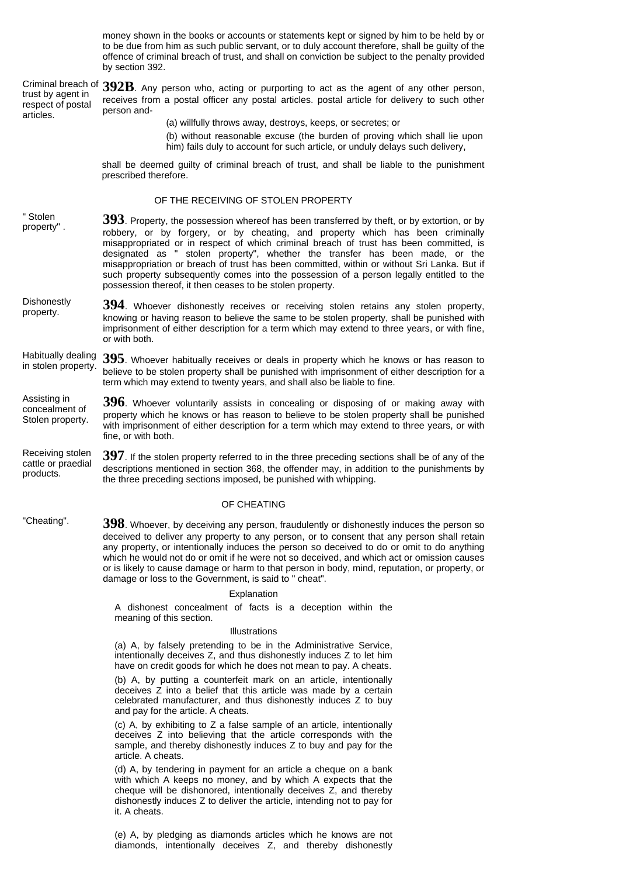money shown in the books or accounts or statements kept or signed by him to be held by or to be due from him as such public servant, or to duly account therefore, shall be guilty of the offence of criminal breach of trust, and shall on conviction be subject to the penalty provided by section 392.

trust by agent in respect of postal articles.

Criminal breach of **392B**. Any person who, acting or purporting to act as the agent of any other person, receives from a postal officer any postal articles. postal article for delivery to such other person and-

- (a) willfully throws away, destroys, keeps, or secretes; or
- (b) without reasonable excuse (the burden of proving which shall lie upon him) fails duly to account for such article, or unduly delays such delivery,

shall be deemed guilty of criminal breach of trust, and shall be liable to the punishment prescribed therefore.

# OF THE RECEIVING OF STOLEN PROPERTY

- " Stolen property" . **393**. Property, the possession whereof has been transferred by theft, or by extortion, or by robbery, or by forgery, or by cheating, and property which has been criminally misappropriated or in respect of which criminal breach of trust has been committed, is designated as " stolen property", whether the transfer has been made, or the misappropriation or breach of trust has been committed, within or without Sri Lanka. But if such property subsequently comes into the possession of a person legally entitled to the possession thereof, it then ceases to be stolen property.
- **Dishonestly** property. **394**. Whoever dishonestly receives or receiving stolen retains any stolen property, knowing or having reason to believe the same to be stolen property, shall be punished with imprisonment of either description for a term which may extend to three years, or with fine, or with both.

Habitually dealing<br>in stolen property. 395. Whoever habitually receives or deals in property which he knows or has reason to believe to be stolen property shall be punished with imprisonment of either description for a term which may extend to twenty years, and shall also be liable to fine.

Assisting in concealment of Stolen property. **396**. Whoever voluntarily assists in concealing or disposing of or making away with property which he knows or has reason to believe to be stolen property shall be punished with imprisonment of either description for a term which may extend to three years, or with fine, or with both.

Receiving stolen cattle or praedial products. **397**. If the stolen property referred to in the three preceding sections shall be of any of the descriptions mentioned in section 368, the offender may, in addition to the punishments by the three preceding sections imposed, be punished with whipping.

#### OF CHEATING

"Cheating". **398**. Whoever, by deceiving any person, fraudulently or dishonestly induces the person so deceived to deliver any property to any person, or to consent that any person shall retain any property, or intentionally induces the person so deceived to do or omit to do anything which he would not do or omit if he were not so deceived, and which act or omission causes or is likely to cause damage or harm to that person in body, mind, reputation, or property, or damage or loss to the Government, is said to " cheat".

#### Explanation

A dishonest concealment of facts is a deception within the meaning of this section.

### Illustrations

(a) A, by falsely pretending to be in the Administrative Service, intentionally deceives Z, and thus dishonestly induces Z to let him have on credit goods for which he does not mean to pay. A cheats.

(b) A, by putting a counterfeit mark on an article, intentionally deceives Z into a belief that this article was made by a certain celebrated manufacturer, and thus dishonestly induces Z to buy and pay for the article. A cheats.

(c) A, by exhibiting to Z a false sample of an article, intentionally deceives Z into believing that the article corresponds with the sample, and thereby dishonestly induces Z to buy and pay for the article. A cheats.

(d) A, by tendering in payment for an article a cheque on a bank with which A keeps no money, and by which A expects that the cheque will be dishonored, intentionally deceives Z, and thereby dishonestly induces Z to deliver the article, intending not to pay for it. A cheats.

(e) A, by pledging as diamonds articles which he knows are not diamonds, intentionally deceives Z, and thereby dishonestly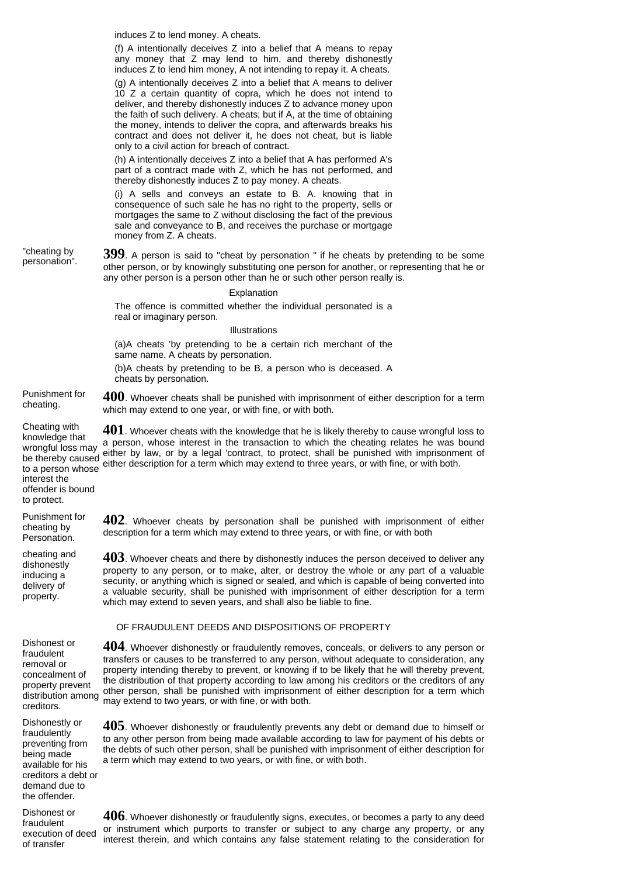induces Z to lend money. A cheats. (f) A intentionally deceives Z into a belief that A means to repay any money that Z may lend to him, and thereby dishonestly induces Z to lend him money, A not intending to repay it. A cheats. (g) A intentionally deceives Z into a belief that A means to deliver 10 Z a certain quantity of copra, which he does not intend to deliver, and thereby dishonestly induces Z to advance money upon the faith of such delivery. A cheats; but if A, at the time of obtaining the money, intends to deliver the copra, and afterwards breaks his contract and does not deliver it, he does not cheat, but is liable only to a civil action for breach of contract. (h) A intentionally deceives Z into a belief that A has performed A's part of a contract made with Z, which he has not performed, and thereby dishonestly induces Z to pay money. A cheats. (i) A sells and conveys an estate to B. A. knowing that in consequence of such sale he has no right to the property, sells or mortgages the same to Z without disclosing the fact of the previous sale and conveyance to B, and receives the purchase or mortgage money from Z. A cheats. "cheating by personation". **399**. A person is said to "cheat by personation " if he cheats by pretending to be some other person, or by knowingly substituting one person for another, or representing that he or any other person is a person other than he or such other person really is. **Explanation** The offence is committed whether the individual personated is a real or imaginary person. Illustrations (a)A cheats 'by pretending to be a certain rich merchant of the same name. A cheats by personation. (b)A cheats by pretending to be B, a person who is deceased. A cheats by personation. Punishment for<br>cheating. **400**. Whoever cheats shall be punished with imprisonment of either description for a term which may extend to one year, or with fine, or with both. Cheating with knowledge that wrongful loss may wollgian loss may<br>be thereby caused either description for a term which may ovtand to three years, as with fine, as with both to a person whose either description for a term which may extend to three years, or with fine, or with both. interest the offender is bound to protect. **401**. Whoever cheats with the knowledge that he is likely thereby to cause wrongful loss to a person, whose interest in the transaction to which the cheating relates he was bound Punishment for cheating by Personation. **402**. Whoever cheats by personation shall be punished with imprisonment of either description for a term which may extend to three years, or with fine, or with both cheating and dishonestly inducing a delivery of property. **403**. Whoever cheats and there by dishonestly induces the person deceived to deliver any property to any person, or to make, alter, or destroy the whole or any part of a valuable security, or anything which is signed or sealed, and which is capable of being converted into a valuable security, shall be punished with imprisonment of either description for a term which may extend to seven years, and shall also be liable to fine. OF FRAUDULENT DEEDS AND DISPOSITIONS OF PROPERTY Dishonest or fraudulent removal or concealment of property prevent distribution among creditors. **404**. Whoever dishonestly or fraudulently removes, conceals, or delivers to any person or transfers or causes to be transferred to any person, without adequate to consideration, any property intending thereby to prevent, or knowing if to be likely that he will thereby prevent, the distribution of that property according to law among his creditors or the creditors of any other person, shall be punished with imprisonment of either description for a term which may extend to two years, or with fine, or with both. Dishonestly or fraudulently preventing from being made available for his creditors a debt or demand due to the offender. **405**. Whoever dishonestly or fraudulently prevents any debt or demand due to himself or to any other person from being made available according to law for payment of his debts or the debts of such other person, shall be punished with imprisonment of either description for a term which may extend to two years, or with fine, or with both.

execution of deed **406**. Whoever dishonestly or fraudulently signs, executes, or becomes a party to any deed or instrument which purports to transfer or subject to any charge any property, or any interest therein, and which contains any false statement relating to the consideration for

Dishonest or fraudulent

of transfer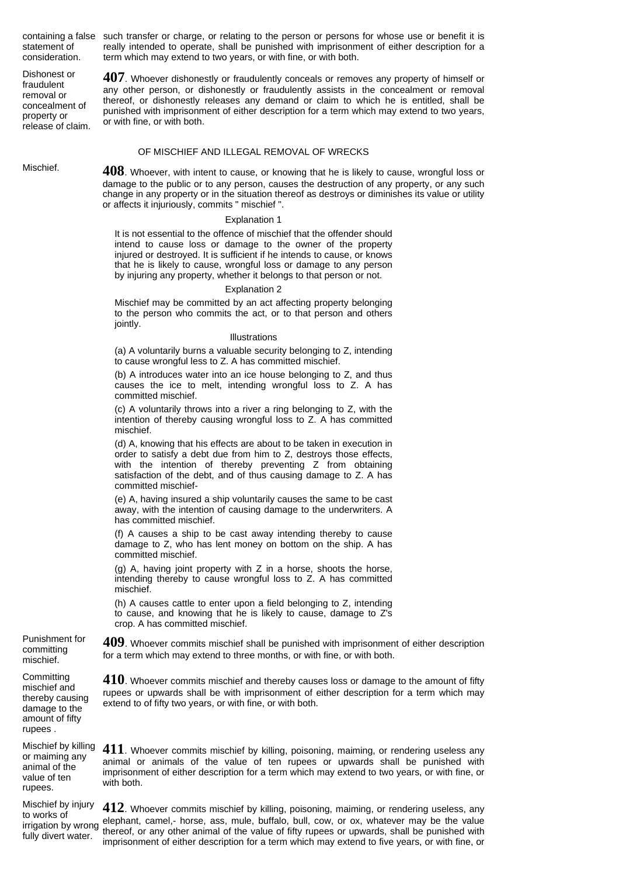statement of consideration.

Dishonest or fraudulent removal or concealment of property or release of claim.

containing a false such transfer or charge, or relating to the person or persons for whose use or benefit it is really intended to operate, shall be punished with imprisonment of either description for a term which may extend to two years, or with fine, or with both.

> **407**. Whoever dishonestly or fraudulently conceals or removes any property of himself or any other person, or dishonestly or fraudulently assists in the concealment or removal thereof, or dishonestly releases any demand or claim to which he is entitled, shall be punished with imprisonment of either description for a term which may extend to two years, or with fine, or with both.

### OF MISCHIEF AND ILLEGAL REMOVAL OF WRECKS

Mischief. **408**. Whoever, with intent to cause, or knowing that he is likely to cause, wrongful loss or damage to the public or to any person, causes the destruction of any property, or any such change in any property or in the situation thereof as destroys or diminishes its value or utility or affects it injuriously, commits " mischief ".

#### Explanation 1

It is not essential to the offence of mischief that the offender should intend to cause loss or damage to the owner of the property injured or destroyed. It is sufficient if he intends to cause, or knows that he is likely to cause, wrongful loss or damage to any person by injuring any property, whether it belongs to that person or not.

#### Explanation 2

Mischief may be committed by an act affecting property belonging to the person who commits the act, or to that person and others jointly.

#### Illustrations

(a) A voluntarily burns a valuable security belonging to Z, intending to cause wrongful less to Z. A has committed mischief.

(b) A introduces water into an ice house belonging to Z, and thus causes the ice to melt, intending wrongful loss to Z. A has committed mischief.

(c) A voluntarily throws into a river a ring belonging to Z, with the intention of thereby causing wrongful loss to Z. A has committed mischief.

(d) A, knowing that his effects are about to be taken in execution in order to satisfy a debt due from him to Z, destroys those effects, with the intention of thereby preventing Z from obtaining satisfaction of the debt, and of thus causing damage to Z. A has committed mischief-

(e) A, having insured a ship voluntarily causes the same to be cast away, with the intention of causing damage to the underwriters. A has committed mischief.

(f) A causes a ship to be cast away intending thereby to cause damage to Z, who has lent money on bottom on the ship. A has committed mischief.

(g) A, having joint property with Z in a horse, shoots the horse, intending thereby to cause wrongful loss to Z. A has committed mischief.

(h) A causes cattle to enter upon a field belonging to Z, intending to cause, and knowing that he is likely to cause, damage to Z's crop. A has committed mischief.

**409**. Whoever commits mischief shall be punished with imprisonment of either description for a term which may extend to three months, or with fine, or with both.

**410**. Whoever commits mischief and thereby causes loss or damage to the amount of fifty rupees or upwards shall be with imprisonment of either description for a term which may extend to of fifty two years, or with fine, or with both.

**411**. Whoever commits mischief by killing, poisoning, maiming, or rendering useless any animal or animals of the value of ten rupees or upwards shall be punished with imprisonment of either description for a term which may extend to two years, or with fine, or with both.

**412**. Whoever commits mischief by killing, poisoning, maiming, or rendering useless, any elephant, camel,- horse, ass, mule, buffalo, bull, cow, or ox, whatever may be the value thereof, or any other animal of the value of fifty rupees or upwards, shall be punished with imprisonment of either description for a term which may extend to five years, or with fine, or

Punishment for committing mischief.

**Committing** mischief and thereby causing damage to the amount of fifty rupees .

Mischief by killing or maiming any animal of the value of ten rupees.

Mischief by injury to works of irrigation by wrong fully divert water.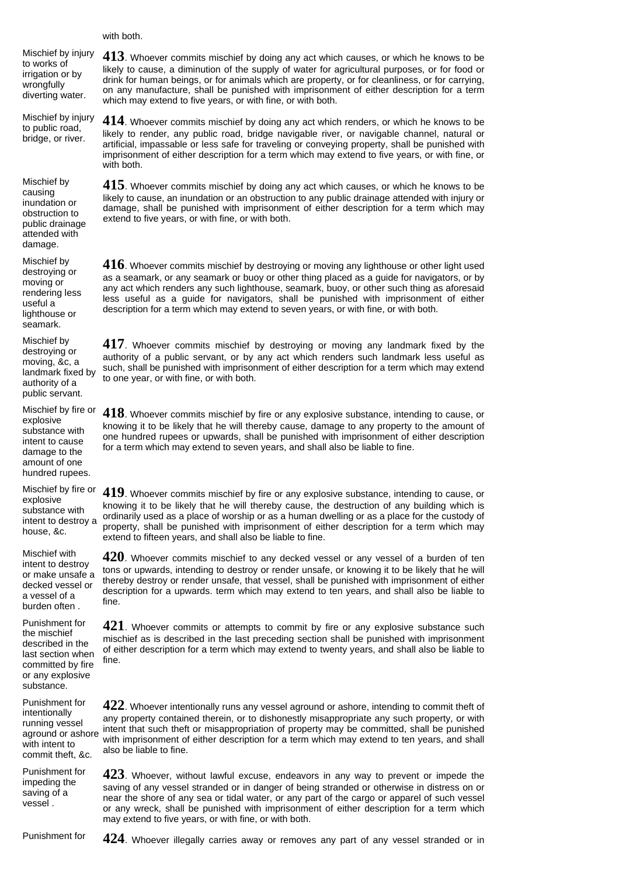#### with both.

Mischief by injury to works of irrigation or by wrongfully diverting water.

Mischief by injury to public road, bridge, or river.

Mischief by causing inundation or obstruction to public drainage attended with damage.

Mischief by destroying or moving or rendering less useful a lighthouse or seamark.

Mischief by destroying or moving, &c, a landmark fixed by authority of a public servant.

Mischief by fire or substance with intent to cause damage to the amount of one hundred rupees.

Mischief by fire or substance with intent to destroy a house, &c.

Mischief with intent to destroy or make unsafe a decked vessel or a vessel of a burden often .

Punishment for the mischief described in the last section when committed by fire or any explosive substance.

Punishment for intentionally running vessel with intent to commit theft, &c.

Punishment for impeding the saving of a vessel .

**413**. Whoever commits mischief by doing any act which causes, or which he knows to be likely to cause, a diminution of the supply of water for agricultural purposes, or for food or drink for human beings, or for animals which are property, or for cleanliness, or for carrying, on any manufacture, shall be punished with imprisonment of either description for a term which may extend to five years, or with fine, or with both.

**414**. Whoever commits mischief by doing any act which renders, or which he knows to be likely to render, any public road, bridge navigable river, or navigable channel, natural or artificial, impassable or less safe for traveling or conveying property, shall be punished with imprisonment of either description for a term which may extend to five years, or with fine, or with both.

**415**. Whoever commits mischief by doing any act which causes, or which he knows to be likely to cause, an inundation or an obstruction to any public drainage attended with injury or damage, shall be punished with imprisonment of either description for a term which may extend to five years, or with fine, or with both.

**416**. Whoever commits mischief by destroying or moving any lighthouse or other light used as a seamark, or any seamark or buoy or other thing placed as a guide for navigators, or by any act which renders any such lighthouse, seamark, buoy, or other such thing as aforesaid less useful as a guide for navigators, shall be punished with imprisonment of either description for a term which may extend to seven years, or with fine, or with both.

**417**. Whoever commits mischief by destroying or moving any landmark fixed by the authority of a public servant, or by any act which renders such landmark less useful as such, shall be punished with imprisonment of either description for a term which may extend to one year, or with fine, or with both.

Mischief by fire or **418**. Whoever commits mischief by fire or any explosive substance, intending to cause, or<br>explosive the explosive the security of the little by the bould thereby explosive density to the exploration of knowing it to be likely that he will thereby cause, damage to any property to the amount of one hundred rupees or upwards, shall be punished with imprisonment of either description for a term which may extend to seven years, and shall also be liable to fine.

Mischief by fire or **419**. Whoever commits mischief by fire or any explosive substance, intending to cause, or<br>explosive the province it to be likely that he will thereby exuse, the destruction of any huilding which is knowing it to be likely that he will thereby cause, the destruction of any building which is ordinarily used as a place of worship or as a human dwelling or as a place for the custody of property, shall be punished with imprisonment of either description for a term which may extend to fifteen years, and shall also be liable to fine.

> **420**. Whoever commits mischief to any decked vessel or any vessel of a burden of ten tons or upwards, intending to destroy or render unsafe, or knowing it to be likely that he will thereby destroy or render unsafe, that vessel, shall be punished with imprisonment of either description for a upwards. term which may extend to ten years, and shall also be liable to fine.

> **421**. Whoever commits or attempts to commit by fire or any explosive substance such mischief as is described in the last preceding section shall be punished with imprisonment of either description for a term which may extend to twenty years, and shall also be liable to fine.

Forming vesser<br>aground or ashore with imprisonment of either description for a term which may ovtand to tap years, and shall **422**. Whoever intentionally runs any vessel aground or ashore, intending to commit theft of any property contained therein, or to dishonestly misappropriate any such property, or with with imprisonment of either description for a term which may extend to ten years, and shall also be liable to fine.

> **423**. Whoever, without lawful excuse, endeavors in any way to prevent or impede the saving of any vessel stranded or in danger of being stranded or otherwise in distress on or near the shore of any sea or tidal water, or any part of the cargo or apparel of such vessel or any wreck, shall be punished with imprisonment of either description for a term which may extend to five years, or with fine, or with both.

Punishment for **424**. Whoever illegally carries away or removes any part of any vessel stranded or in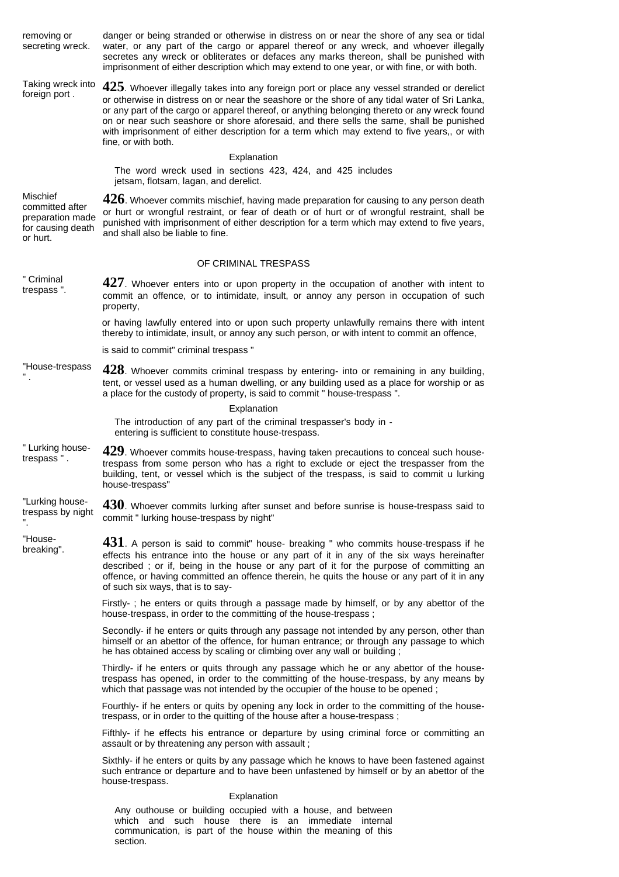| removing or<br>secreting wreck.                                                  | danger or being stranded or otherwise in distress on or near the shore of any sea or tidal<br>water, or any part of the cargo or apparel thereof or any wreck, and whoever illegally<br>secretes any wreck or obliterates or defaces any marks thereon, shall be punished with<br>imprisonment of either description which may extend to one year, or with fine, or with both.                                                                                                                                      |  |  |
|----------------------------------------------------------------------------------|---------------------------------------------------------------------------------------------------------------------------------------------------------------------------------------------------------------------------------------------------------------------------------------------------------------------------------------------------------------------------------------------------------------------------------------------------------------------------------------------------------------------|--|--|
| Taking wreck into<br>foreign port.                                               | $425$ . Whoever illegally takes into any foreign port or place any vessel stranded or derelict<br>or otherwise in distress on or near the seashore or the shore of any tidal water of Sri Lanka,<br>or any part of the cargo or apparel thereof, or anything belonging thereto or any wreck found<br>on or near such seashore or shore aforesaid, and there sells the same, shall be punished<br>with imprisonment of either description for a term which may extend to five years,, or with<br>fine, or with both. |  |  |
|                                                                                  | Explanation<br>The word wreck used in sections 423, 424, and 425 includes<br>jetsam, flotsam, lagan, and derelict.                                                                                                                                                                                                                                                                                                                                                                                                  |  |  |
| Mischief<br>committed after<br>preparation made<br>for causing death<br>or hurt. | $426$ . Whoever commits mischief, having made preparation for causing to any person death<br>or hurt or wrongful restraint, or fear of death or of hurt or of wrongful restraint, shall be<br>punished with imprisonment of either description for a term which may extend to five years,<br>and shall also be liable to fine.                                                                                                                                                                                      |  |  |
|                                                                                  | OF CRIMINAL TRESPASS                                                                                                                                                                                                                                                                                                                                                                                                                                                                                                |  |  |
| " Criminal<br>trespass".                                                         | $427$ . Whoever enters into or upon property in the occupation of another with intent to<br>commit an offence, or to intimidate, insult, or annoy any person in occupation of such<br>property,                                                                                                                                                                                                                                                                                                                     |  |  |
|                                                                                  | or having lawfully entered into or upon such property unlawfully remains there with intent<br>thereby to intimidate, insult, or annoy any such person, or with intent to commit an offence,                                                                                                                                                                                                                                                                                                                         |  |  |
|                                                                                  | is said to commit" criminal trespass "                                                                                                                                                                                                                                                                                                                                                                                                                                                                              |  |  |
| "House-trespass<br>H                                                             | $428$ . Whoever commits criminal trespass by entering- into or remaining in any building,<br>tent, or vessel used as a human dwelling, or any building used as a place for worship or as<br>a place for the custody of property, is said to commit " house-trespass ".                                                                                                                                                                                                                                              |  |  |
|                                                                                  | Explanation                                                                                                                                                                                                                                                                                                                                                                                                                                                                                                         |  |  |
|                                                                                  | The introduction of any part of the criminal trespasser's body in -<br>entering is sufficient to constitute house-trespass.                                                                                                                                                                                                                                                                                                                                                                                         |  |  |
| " Lurking house-<br>trespass".                                                   | $429$ . Whoever commits house-trespass, having taken precautions to conceal such house-<br>trespass from some person who has a right to exclude or eject the trespasser from the<br>building, tent, or vessel which is the subject of the trespass, is said to commit u lurking<br>house-trespass"                                                                                                                                                                                                                  |  |  |
| "Lurking house-<br>trespass by night                                             | $430$ . Whoever commits lurking after sunset and before sunrise is house-trespass said to<br>commit " lurking house-trespass by night"                                                                                                                                                                                                                                                                                                                                                                              |  |  |
| "House-<br>breaking".                                                            | $431$ . A person is said to commit" house- breaking " who commits house-trespass if he<br>effects his entrance into the house or any part of it in any of the six ways hereinafter<br>described; or if, being in the house or any part of it for the purpose of committing an<br>offence, or having committed an offence therein, he quits the house or any part of it in any<br>of such six ways, that is to say-                                                                                                  |  |  |
|                                                                                  | Firstly-; he enters or quits through a passage made by himself, or by any abettor of the<br>house-trespass, in order to the committing of the house-trespass;                                                                                                                                                                                                                                                                                                                                                       |  |  |
|                                                                                  | Secondly- if he enters or quits through any passage not intended by any person, other than<br>himself or an abettor of the offence, for human entrance; or through any passage to which<br>he has obtained access by scaling or climbing over any wall or building;                                                                                                                                                                                                                                                 |  |  |
|                                                                                  | Thirdly- if he enters or quits through any passage which he or any abettor of the house-<br>trespass has opened, in order to the committing of the house-trespass, by any means by<br>which that passage was not intended by the occupier of the house to be opened;                                                                                                                                                                                                                                                |  |  |
|                                                                                  | Fourthly- if he enters or quits by opening any lock in order to the committing of the house-<br>trespass, or in order to the quitting of the house after a house-trespass;                                                                                                                                                                                                                                                                                                                                          |  |  |
|                                                                                  | Fifthly- if he effects his entrance or departure by using criminal force or committing an<br>assault or by threatening any person with assault;                                                                                                                                                                                                                                                                                                                                                                     |  |  |
|                                                                                  | Sixthly- if he enters or quits by any passage which he knows to have been fastened against<br>such entrance or departure and to have been unfastened by himself or by an abettor of the<br>house-trespass.                                                                                                                                                                                                                                                                                                          |  |  |
|                                                                                  | Explanation                                                                                                                                                                                                                                                                                                                                                                                                                                                                                                         |  |  |
|                                                                                  | Any outhouse or building occupied with a house, and between<br>which and such house there is an immediate internal<br>communication, is part of the house within the meaning of this<br>section.                                                                                                                                                                                                                                                                                                                    |  |  |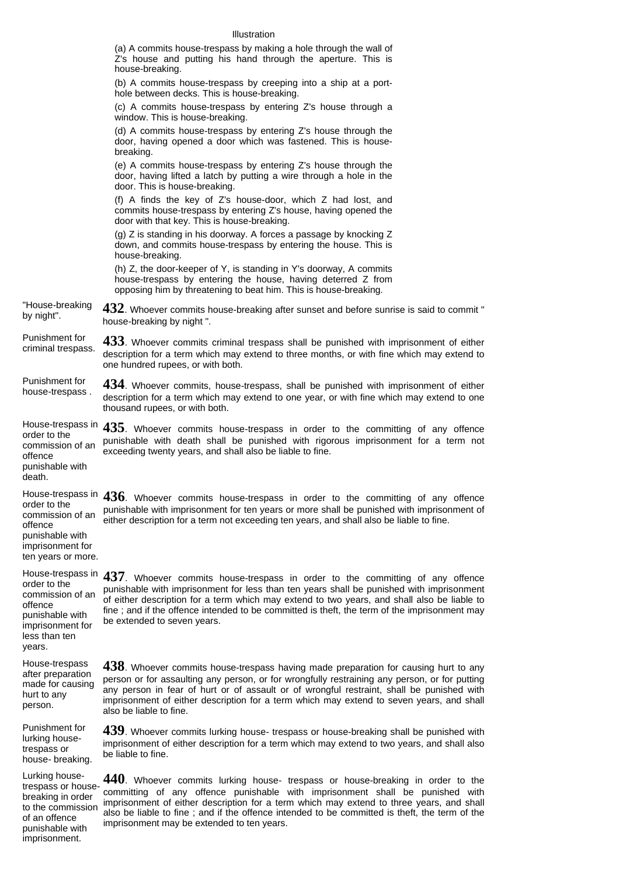#### Illustration

(a) A commits house-trespass by making a hole through the wall of Z's house and putting his hand through the aperture. This is house-breaking.

(b) A commits house-trespass by creeping into a ship at a porthole between decks. This is house-breaking.

(c) A commits house-trespass by entering Z's house through a window. This is house-breaking.

(d) A commits house-trespass by entering Z's house through the door, having opened a door which was fastened. This is housebreaking.

(e) A commits house-trespass by entering Z's house through the door, having lifted a latch by putting a wire through a hole in the door. This is house-breaking.

(f) A finds the key of Z's house-door, which Z had lost, and commits house-trespass by entering Z's house, having opened the door with that key. This is house-breaking.

(g) Z is standing in his doorway. A forces a passage by knocking Z down, and commits house-trespass by entering the house. This is house-breaking.

(h) Z, the door-keeper of Y, is standing in Y's doorway, A commits house-trespass by entering the house, having deterred Z from opposing him by threatening to beat him. This is house-breaking.

"House-breaking<br>by night". **432**. Whoever commits house-breaking after sunset and before sunrise is said to commit " house-breaking by night ".

Punishment for<br>criminal trespass. 433. Whoever commits criminal trespass shall be punished with imprisonment of either description for a term which may extend to three months, or with fine which may extend to one hundred rupees, or with both.

Punishment for house-trespass . **434**. Whoever commits, house-trespass, shall be punished with imprisonment of either description for a term which may extend to one year, or with fine which may extend to one thousand rupees, or with both.

House-trespass in order to the commission of an offence **435**. Whoever commits house-trespass in order to the committing of any offence punishable with death shall be punished with rigorous imprisonment for a term not exceeding twenty years, and shall also be liable to fine.

punishable with death.

order to the commission of an offence punishable with imprisonment for ten years or more.

order to the commission of an offence punishable with imprisonment for less than ten years.

House-trespass after preparation made for causing hurt to any person.

Punishment for lurking housetrespass or house- breaking.

Lurking housetrespass or housebreaking in order to the commission of an offence punishable with imprisonment.

House-trespass in **436**. Whoever commits house-trespass in order to the committing of any offence punishable with imprisonment for ten years or more shall be punished with imprisonment of either description for a term not exceeding ten years, and shall also be liable to fine.

House-trespass in **437**. Whoever commits house-trespass in order to the committing of any offence punishable with imprisonment for less than ten years shall be punished with imprisonment of either description for a term which may extend to two years, and shall also be liable to fine ; and if the offence intended to be committed is theft, the term of the imprisonment may be extended to seven years.

> **438**. Whoever commits house-trespass having made preparation for causing hurt to any person or for assaulting any person, or for wrongfully restraining any person, or for putting any person in fear of hurt or of assault or of wrongful restraint, shall be punished with imprisonment of either description for a term which may extend to seven years, and shall also be liable to fine.

> **439**. Whoever commits lurking house- trespass or house-breaking shall be punished with imprisonment of either description for a term which may extend to two years, and shall also be liable to fine.

> **440**. Whoever commits lurking house- trespass or house-breaking in order to the committing of any offence punishable with imprisonment shall be punished with imprisonment of either description for a term which may extend to three years, and shall also be liable to fine ; and if the offence intended to be committed is theft, the term of the imprisonment may be extended to ten years.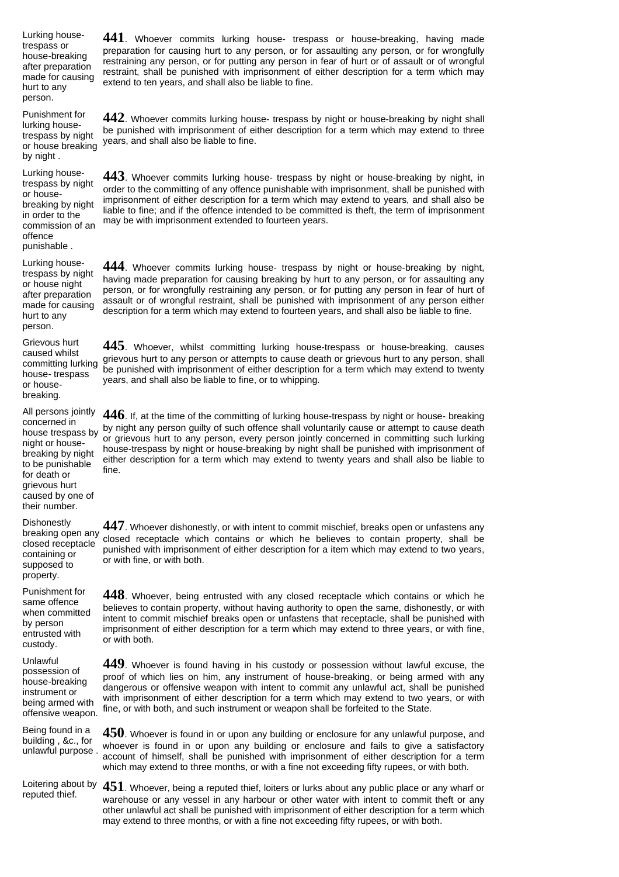Lurking housetrespass or house-breaking after preparation made for causing hurt to any person.

Punishment for lurking housetrespass by night or house breaking by night .

Lurking housetrespass by night or housebreaking by night in order to the commission of an offence punishable .

Lurking housetrespass by night or house night after preparation made for causing hurt to any person.

Grievous hurt caused whilst committing lurking house- trespass or housebreaking.

All persons jointly house trespass by night or housebreaking by night to be punishable for death or grievous hurt caused by one of their number.

**Dishonestly** breaking open any closed receptacle containing or supposed to property.

Punishment for same offence when committed by person entrusted with custody.

Unlawful possession of house-breaking instrument or being armed with offensive weapon.

Being found in a building , &c., for unlawful purpose .

Loitering about by

**441**. Whoever commits lurking house- trespass or house-breaking, having made preparation for causing hurt to any person, or for assaulting any person, or for wrongfully restraining any person, or for putting any person in fear of hurt or of assault or of wrongful restraint, shall be punished with imprisonment of either description for a term which may extend to ten years, and shall also be liable to fine.

**442**. Whoever commits lurking house- trespass by night or house-breaking by night shall be punished with imprisonment of either description for a term which may extend to three years, and shall also be liable to fine.

**443**. Whoever commits lurking house- trespass by night or house-breaking by night, in order to the committing of any offence punishable with imprisonment, shall be punished with imprisonment of either description for a term which may extend to years, and shall also be liable to fine; and if the offence intended to be committed is theft, the term of imprisonment may be with imprisonment extended to fourteen years.

**444**. Whoever commits lurking house- trespass by night or house-breaking by night, having made preparation for causing breaking by hurt to any person, or for assaulting any person, or for wrongfully restraining any person, or for putting any person in fear of hurt of assault or of wrongful restraint, shall be punished with imprisonment of any person either description for a term which may extend to fourteen years, and shall also be liable to fine.

**445**. Whoever, whilst committing lurking house-trespass or house-breaking, causes grievous hurt to any person or attempts to cause death or grievous hurt to any person, shall be punished with imprisonment of either description for a term which may extend to twenty years, and shall also be liable to fine, or to whipping.

All persons jointly 446. If, at the time of the committing of lurking house-trespass by night or house- breaking<br>concerned in<br>concerned in by night any person guilty of such offence shall voluntarily cause or attempt to cause death or grievous hurt to any person, every person jointly concerned in committing such lurking house-trespass by night or house-breaking by night shall be punished with imprisonment of either description for a term which may extend to twenty years and shall also be liable to fine.

> **447**. Whoever dishonestly, or with intent to commit mischief, breaks open or unfastens any closed receptacle which contains or which he believes to contain property, shall be punished with imprisonment of either description for a item which may extend to two years, or with fine, or with both.

**448**. Whoever, being entrusted with any closed receptacle which contains or which he believes to contain property, without having authority to open the same, dishonestly, or with intent to commit mischief breaks open or unfastens that receptacle, shall be punished with imprisonment of either description for a term which may extend to three years, or with fine, or with both.

**449**. Whoever is found having in his custody or possession without lawful excuse, the proof of which lies on him, any instrument of house-breaking, or being armed with any dangerous or offensive weapon with intent to commit any unlawful act, shall be punished with imprisonment of either description for a term which may extend to two years, or with fine, or with both, and such instrument or weapon shall be forfeited to the State.

**450**. Whoever is found in or upon any building or enclosure for any unlawful purpose, and whoever is found in or upon any building or enclosure and fails to give a satisfactory account of himself, shall be punished with imprisonment of either description for a term which may extend to three months, or with a fine not exceeding fifty rupees, or with both.

Loitering about by **451**. Whoever, being a reputed thief, loiters or lurks about any public place or any wharf or reputed thief. warehouse or any vessel in any harbour or other water with intent to commit theft or any other unlawful act shall be punished with imprisonment of either description for a term which may extend to three months, or with a fine not exceeding fifty rupees, or with both.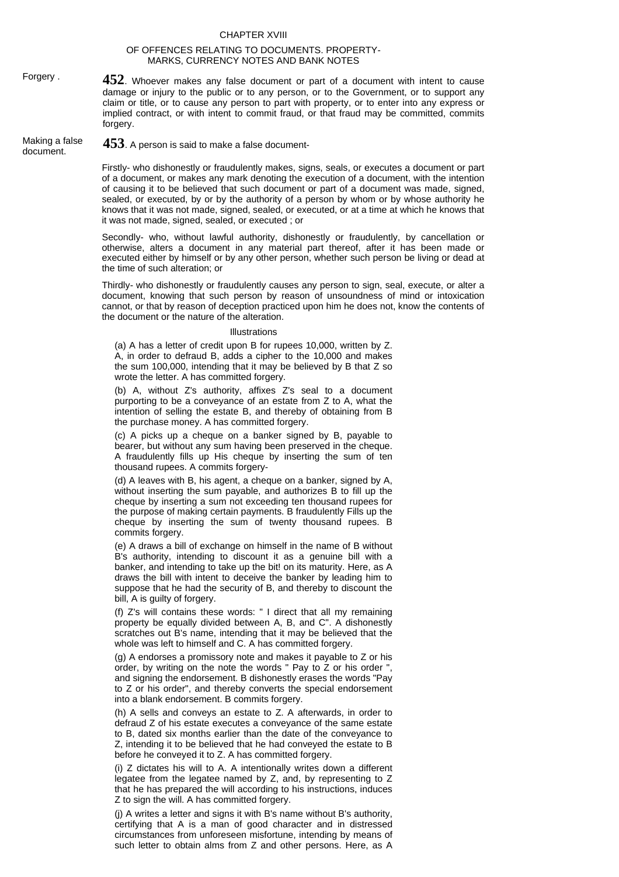### CHAPTER XVIII

## OF OFFENCES RELATING TO DOCUMENTS. PROPERTY-MARKS, CURRENCY NOTES AND BANK NOTES

Forgery . **452**. Whoever makes any false document or part of a document with intent to cause damage or injury to the public or to any person, or to the Government, or to support any claim or title, or to cause any person to part with property, or to enter into any express or implied contract, or with intent to commit fraud, or that fraud may be committed, commits forgery.

Making a false

Making a false **453**. A person is said to make a false document-<br>document.

Firstly- who dishonestly or fraudulently makes, signs, seals, or executes a document or part of a document, or makes any mark denoting the execution of a document, with the intention of causing it to be believed that such document or part of a document was made, signed, sealed, or executed, by or by the authority of a person by whom or by whose authority he knows that it was not made, signed, sealed, or executed, or at a time at which he knows that it was not made, signed, sealed, or executed ; or

Secondly- who, without lawful authority, dishonestly or fraudulently, by cancellation or otherwise, alters a document in any material part thereof, after it has been made or executed either by himself or by any other person, whether such person be living or dead at the time of such alteration; or

Thirdly- who dishonestly or fraudulently causes any person to sign, seal, execute, or alter a document, knowing that such person by reason of unsoundness of mind or intoxication cannot, or that by reason of deception practiced upon him he does not, know the contents of the document or the nature of the alteration.

#### Illustrations

(a) A has a letter of credit upon B for rupees 10,000, written by Z. A, in order to defraud B, adds a cipher to the 10,000 and makes the sum 100,000, intending that it may be believed by B that Z so wrote the letter. A has committed forgery.

(b) A, without Z's authority, affixes Z's seal to a document purporting to be a conveyance of an estate from Z to A, what the intention of selling the estate B, and thereby of obtaining from B the purchase money. A has committed forgery.

(c) A picks up a cheque on a banker signed by B, payable to bearer, but without any sum having been preserved in the cheque. A fraudulently fills up His cheque by inserting the sum of ten thousand rupees. A commits forgery-

(d) A leaves with B, his agent, a cheque on a banker, signed by A, without inserting the sum payable, and authorizes B to fill up the cheque by inserting a sum not exceeding ten thousand rupees for the purpose of making certain payments. B fraudulently Fills up the cheque by inserting the sum of twenty thousand rupees. B commits forgery.

(e) A draws a bill of exchange on himself in the name of B without B's authority, intending to discount it as a genuine bill with a banker, and intending to take up the bit! on its maturity. Here, as A draws the bill with intent to deceive the banker by leading him to suppose that he had the security of B, and thereby to discount the bill, A is guilty of forgery.

(f) Z's will contains these words: " I direct that all my remaining property be equally divided between A, B, and C". A dishonestly scratches out B's name, intending that it may be believed that the whole was left to himself and C. A has committed forgery.

(g) A endorses a promissory note and makes it payable to Z or his order, by writing on the note the words " Pay to Z or his order ", and signing the endorsement. B dishonestly erases the words "Pay to Z or his order", and thereby converts the special endorsement into a blank endorsement. B commits forgery.

(h) A sells and conveys an estate to Z. A afterwards, in order to defraud Z of his estate executes a conveyance of the same estate to B, dated six months earlier than the date of the conveyance to Z, intending it to be believed that he had conveyed the estate to B before he conveyed it to Z. A has committed forgery.

(i) Z dictates his will to A. A intentionally writes down a different legatee from the legatee named by Z, and, by representing to Z that he has prepared the will according to his instructions, induces Z to sign the will. A has committed forgery.

(j) A writes a letter and signs it with B's name without B's authority, certifying that A is a man of good character and in distressed circumstances from unforeseen misfortune, intending by means of such letter to obtain alms from Z and other persons. Here, as A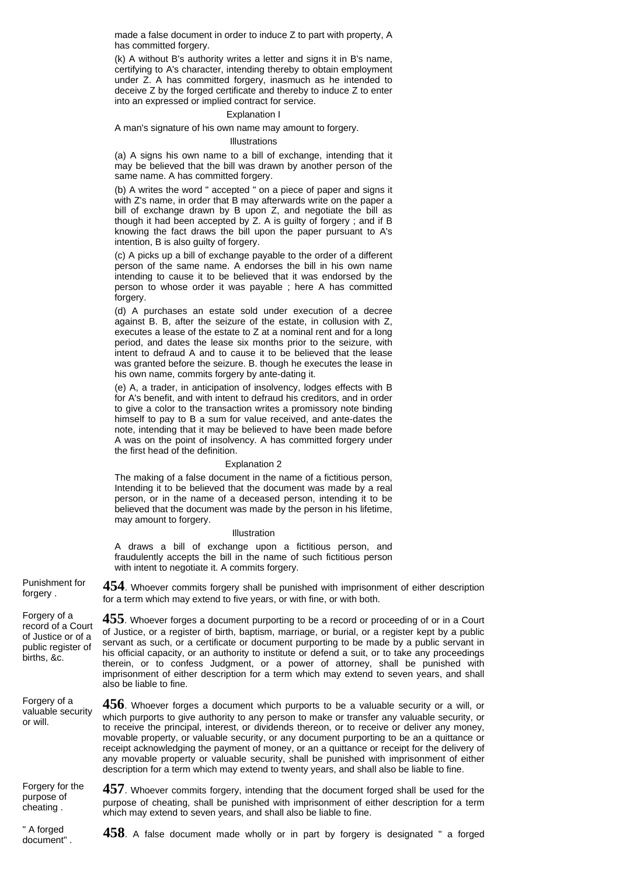made a false document in order to induce Z to part with property, A has committed forgery.

(k) A without B's authority writes a letter and signs it in B's name, certifying to A's character, intending thereby to obtain employment under Z. A has committed forgery, inasmuch as he intended to deceive Z by the forged certificate and thereby to induce Z to enter into an expressed or implied contract for service.

## Explanation I

### A man's signature of his own name may amount to forgery.

#### Illustrations

(a) A signs his own name to a bill of exchange, intending that it may be believed that the bill was drawn by another person of the same name. A has committed forgery.

(b) A writes the word " accepted " on a piece of paper and signs it with Z's name, in order that B may afterwards write on the paper a bill of exchange drawn by B upon Z, and negotiate the bill as though it had been accepted by Z. A is guilty of forgery ; and if B knowing the fact draws the bill upon the paper pursuant to A's intention, B is also guilty of forgery.

(c) A picks up a bill of exchange payable to the order of a different person of the same name. A endorses the bill in his own name intending to cause it to be believed that it was endorsed by the person to whose order it was payable ; here A has committed forgery.

(d) A purchases an estate sold under execution of a decree against B. B, after the seizure of the estate, in collusion with Z, executes a lease of the estate to Z at a nominal rent and for a long period, and dates the lease six months prior to the seizure, with intent to defraud A and to cause it to be believed that the lease was granted before the seizure. B. though he executes the lease in his own name, commits forgery by ante-dating it.

(e) A, a trader, in anticipation of insolvency, lodges effects with B for A's benefit, and with intent to defraud his creditors, and in order to give a color to the transaction writes a promissory note binding himself to pay to B a sum for value received, and ante-dates the note, intending that it may be believed to have been made before A was on the point of insolvency. A has committed forgery under the first head of the definition.

#### Explanation 2

The making of a false document in the name of a fictitious person, Intending it to be believed that the document was made by a real person, or in the name of a deceased person, intending it to be believed that the document was made by the person in his lifetime, may amount to forgery.

### Illustration

A draws a bill of exchange upon a fictitious person, and fraudulently accepts the bill in the name of such fictitious person with intent to negotiate it. A commits forgery.

Punishment for Funishment for **454**. Whoever commits forgery shall be punished with imprisonment of either description forgery. for a term which may extend to five years, or with fine, or with both.

record of a Court of Justice or of a public register of births, &c.

**455**. Whoever forges a document purporting to be a record or proceeding of or in a Court of Justice, or a register of birth, baptism, marriage, or burial, or a register kept by a public servant as such, or a certificate or document purporting to be made by a public servant in his official capacity, or an authority to institute or defend a suit, or to take any proceedings therein, or to confess Judgment, or a power of attorney, shall be punished with imprisonment of either description for a term which may extend to seven years, and shall also be liable to fine.

Forgery of a valuable security or will.

**456**. Whoever forges a document which purports to be a valuable security or a will, or which purports to give authority to any person to make or transfer any valuable security, or to receive the principal, interest, or dividends thereon, or to receive or deliver any money, movable property, or valuable security, or any document purporting to be an a quittance or receipt acknowledging the payment of money, or an a quittance or receipt for the delivery of any movable property or valuable security, shall be punished with imprisonment of either description for a term which may extend to twenty years, and shall also be liable to fine.

Forgery for the purpose of cheating .

" A forged

purpose of cheating, shall be punished with imprisonment of either description for a term which may extend to seven years, and shall also be liable to fine.

**457**. Whoever commits forgery, intending that the document forged shall be used for the

**458**. A false document made wholly or in part by forgery is designated " a forged

Forgery of a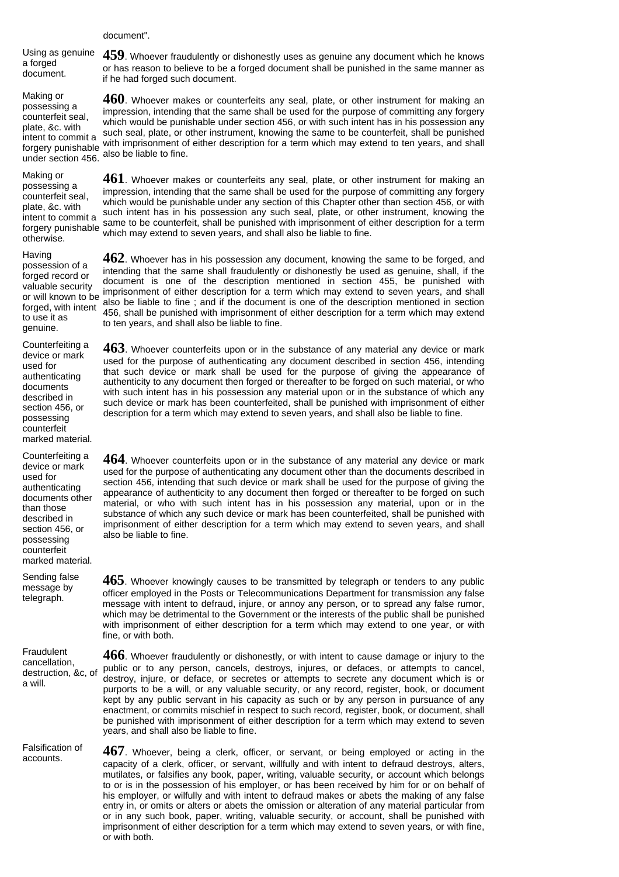Using as genuine a forged document.

Making or possessing a counterfeit seal, plate, &c. with intent to commit a under section 456. also be liable to fine.

Making or possessing a counterfeit seal, plate, &c. with intent to commit a forgery punishable otherwise.

## Having

possession of a forged record or valuable security forged, with intent to use it as genuine.

Counterfeiting a device or mark used for authenticating documents described in section 456, or possessing counterfeit marked material.

Counterfeiting a device or mark used for authenticating documents other than those described in section 456, or possessing counterfeit marked material.

Sending false message by telegraph.

Fraudulent cancellation, a will.

Falsification of<br>accounts

**459**. Whoever fraudulently or dishonestly uses as genuine any document which he knows or has reason to believe to be a forged document shall be punished in the same manner as if he had forged such document.

meth to commit a with imprisonment of either description for a term which may extend to ten years, and shall forgery punishable also be lighter fine. **460**. Whoever makes or counterfeits any seal, plate, or other instrument for making an impression, intending that the same shall be used for the purpose of committing any forgery which would be punishable under section 456, or with such intent has in his possession any such seal, plate, or other instrument, knowing the same to be counterfeit, shall be punished

> **461**. Whoever makes or counterfeits any seal, plate, or other instrument for making an impression, intending that the same shall be used for the purpose of committing any forgery which would be punishable under any section of this Chapter other than section 456, or with such intent has in his possession any such seal, plate, or other instrument, knowing the same to be counterfeit, shall be punished with imprisonment of either description for a term which may extend to seven years, and shall also be liable to fine.

valuable security<br>or will known to be slee be lights to fire used if the desument is are of the description mentioned in eaction **462**. Whoever has in his possession any document, knowing the same to be forged, and intending that the same shall fraudulently or dishonestly be used as genuine, shall, if the document is one of the description mentioned in section 455, be punished with also be liable to fine ; and if the document is one of the description mentioned in section 456, shall be punished with imprisonment of either description for a term which may extend to ten years, and shall also be liable to fine.

> **463**. Whoever counterfeits upon or in the substance of any material any device or mark used for the purpose of authenticating any document described in section 456, intending that such device or mark shall be used for the purpose of giving the appearance of authenticity to any document then forged or thereafter to be forged on such material, or who with such intent has in his possession any material upon or in the substance of which any such device or mark has been counterfeited, shall be punished with imprisonment of either description for a term which may extend to seven years, and shall also be liable to fine.

> **464**. Whoever counterfeits upon or in the substance of any material any device or mark used for the purpose of authenticating any document other than the documents described in section 456, intending that such device or mark shall be used for the purpose of giving the appearance of authenticity to any document then forged or thereafter to be forged on such material, or who with such intent has in his possession any material, upon or in the substance of which any such device or mark has been counterfeited, shall be punished with imprisonment of either description for a term which may extend to seven years, and shall also be liable to fine.

**465**. Whoever knowingly causes to be transmitted by telegraph or tenders to any public officer employed in the Posts or Telecommunications Department for transmission any false message with intent to defraud, injure, or annoy any person, or to spread any false rumor, which may be detrimental to the Government or the interests of the public shall be punished with imprisonment of either description for a term which may extend to one year, or with fine, or with both.

destruction, &c, of public or to any person, cancels, destroys, injures, or defaces, or attempts to cancel, destruction, &c, of destroy injure or deface as correte as attempts to cancel which is as **466**. Whoever fraudulently or dishonestly, or with intent to cause damage or injury to the destroy, injure, or deface, or secretes or attempts to secrete any document which is or purports to be a will, or any valuable security, or any record, register, book, or document kept by any public servant in his capacity as such or by any person in pursuance of any enactment, or commits mischief in respect to such record, register, book, or document, shall be punished with imprisonment of either description for a term which may extend to seven years, and shall also be liable to fine.

> **467**. Whoever, being a clerk, officer, or servant, or being employed or acting in the capacity of a clerk, officer, or servant, willfully and with intent to defraud destroys, alters, mutilates, or falsifies any book, paper, writing, valuable security, or account which belongs to or is in the possession of his employer, or has been received by him for or on behalf of his employer, or wilfully and with intent to defraud makes or abets the making of any false entry in, or omits or alters or abets the omission or alteration of any material particular from or in any such book, paper, writing, valuable security, or account, shall be punished with imprisonment of either description for a term which may extend to seven years, or with fine, or with both.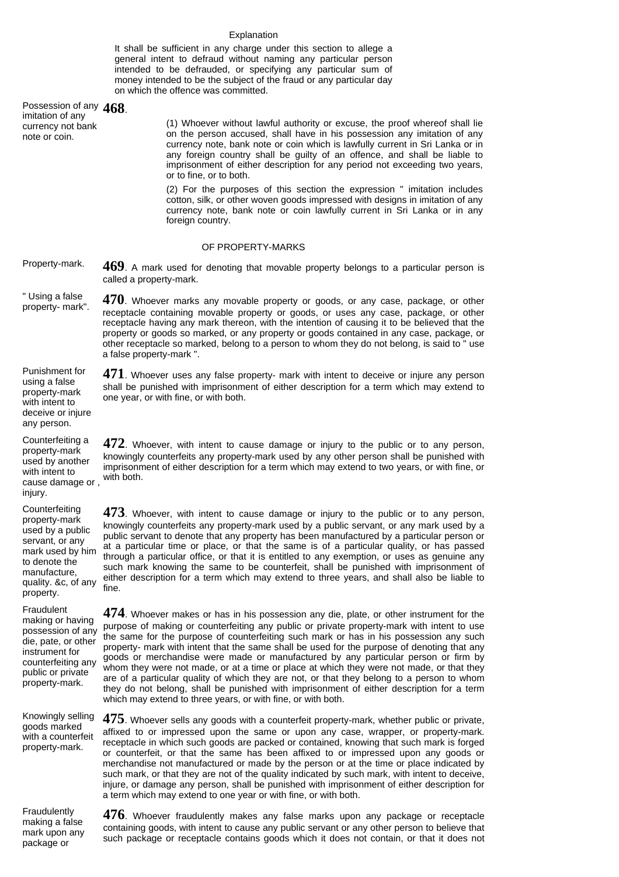## Explanation

It shall be sufficient in any charge under this section to allege a general intent to defraud without naming any particular person intended to be defrauded, or specifying any particular sum of money intended to be the subject of the fraud or any particular day on which the offence was committed.

Possession of any **468**. imitation of any currency not bank note or coin. (1) Whoever without lawful authority or excuse, the proof whereof shall lie on the person accused, shall have in his possession any imitation of any currency note, bank note or coin which is lawfully current in Sri Lanka or in any foreign country shall be guilty of an offence, and shall be liable to imprisonment of either description for any period not exceeding two years, or to fine, or to both. (2) For the purposes of this section the expression " imitation includes cotton, silk, or other woven goods impressed with designs in imitation of any currency note, bank note or coin lawfully current in Sri Lanka or in any foreign country. OF PROPERTY-MARKS Property-mark. **469**. A mark used for denoting that movable property belongs to a particular person is called a property-mark. " Using a false " Using a talse **470**. Whoever marks any movable property or goods, or any case, package, or other property- mark". receptacle containing movable property or goods, or uses any case, package, or other receptacle having any mark thereon, with the intention of causing it to be believed that the property or goods so marked, or any property or goods contained in any case, package, or other receptacle so marked, belong to a person to whom they do not belong, is said to " use a false property-mark ".

> **471**. Whoever uses any false property- mark with intent to deceive or injure any person shall be punished with imprisonment of either description for a term which may extend to one year, or with fine, or with both.

> **472**. Whoever, with intent to cause damage or injury to the public or to any person, knowingly counterfeits any property-mark used by any other person shall be punished with imprisonment of either description for a term which may extend to two years, or with fine, or with both.

**473**. Whoever, with intent to cause damage or injury to the public or to any person, knowingly counterfeits any property-mark used by a public servant, or any mark used by a public servant to denote that any property has been manufactured by a particular person or at a particular time or place, or that the same is of a particular quality, or has passed through a particular office, or that it is entitled to any exemption, or uses as genuine any such mark knowing the same to be counterfeit, shall be punished with imprisonment of either description for a term which may extend to three years, and shall also be liable to fine.

**474**. Whoever makes or has in his possession any die, plate, or other instrument for the purpose of making or counterfeiting any public or private property-mark with intent to use the same for the purpose of counterfeiting such mark or has in his possession any such property- mark with intent that the same shall be used for the purpose of denoting that any goods or merchandise were made or manufactured by any particular person or firm by whom they were not made, or at a time or place at which they were not made, or that they are of a particular quality of which they are not, or that they belong to a person to whom they do not belong, shall be punished with imprisonment of either description for a term which may extend to three years, or with fine, or with both.

**475**. Whoever sells any goods with a counterfeit property-mark, whether public or private, affixed to or impressed upon the same or upon any case, wrapper, or property-mark. receptacle in which such goods are packed or contained, knowing that such mark is forged or counterfeit, or that the same has been affixed to or impressed upon any goods or merchandise not manufactured or made by the person or at the time or place indicated by such mark, or that they are not of the quality indicated by such mark, with intent to deceive, injure, or damage any person, shall be punished with imprisonment of either description for a term which may extend to one year or with fine, or with both.

**476**. Whoever fraudulently makes any false marks upon any package or receptacle containing goods, with intent to cause any public servant or any other person to believe that such package or receptacle contains goods which it does not contain, or that it does not

Punishment for using a false property-mark with intent to deceive or injure any person.

Counterfeiting a property-mark used by another with intent to cause damage or , injury.

**Counterfeiting** property-mark used by a public servant, or any mark used by him to denote the manufacture, quality. &c, of any property.

Fraudulent making or having possession of any die, pate, or other instrument for counterfeiting any public or private property-mark.

Knowingly selling goods marked with a counterfeit property-mark.

Fraudulently making a false mark upon any package or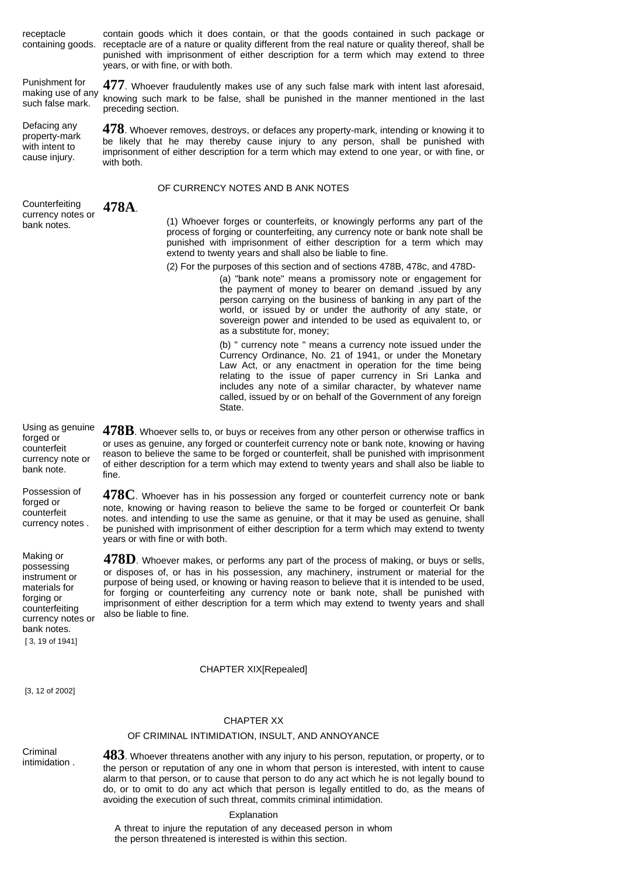receptacle

Punishment for making use of any such false mark.

Defacing any property-mark with intent to cause injury.

containing goods. receptacle are of a nature or quality different from the real nature or quality thereof, shall be contain goods which it does contain, or that the goods contained in such package or punished with imprisonment of either description for a term which may extend to three years, or with fine, or with both.

> **477**. Whoever fraudulently makes use of any such false mark with intent last aforesaid, knowing such mark to be false, shall be punished in the manner mentioned in the last preceding section.

> **478**. Whoever removes, destroys, or defaces any property-mark, intending or knowing it to be likely that he may thereby cause injury to any person, shall be punished with imprisonment of either description for a term which may extend to one year, or with fine, or with both.

> > OF CURRENCY NOTES AND B ANK NOTES

**Counterfeiting** currency notes or bank notes. **478A**.

(1) Whoever forges or counterfeits, or knowingly performs any part of the process of forging or counterfeiting, any currency note or bank note shall be punished with imprisonment of either description for a term which may extend to twenty years and shall also be liable to fine.

(2) For the purposes of this section and of sections 478B, 478c, and 478D-

(a) "bank note" means a promissory note or engagement for the payment of money to bearer on demand .issued by any person carrying on the business of banking in any part of the world, or issued by or under the authority of any state, or sovereign power and intended to be used as equivalent to, or as a substitute for, money;

(b) " currency note " means a currency note issued under the Currency Ordinance, No. 21 of 1941, or under the Monetary Law Act, or any enactment in operation for the time being relating to the issue of paper currency in Sri Lanka and includes any note of a similar character, by whatever name called, issued by or on behalf of the Government of any foreign **State** 

Using as genuine **478B**. Whoever sells to, or buys or receives from any other person or otherwise traffics in forged or counterfeit currency note or bank note.

fine.

Possession of forged or counterfeit currency notes .

Making or possessing instrument or materials for forging or counterfeiting currency notes or bank notes. [ 3, 19 of 1941]

**478C**. Whoever has in his possession any forged or counterfeit currency note or bank note, knowing or having reason to believe the same to be forged or counterfeit Or bank notes. and intending to use the same as genuine, or that it may be used as genuine, shall be punished with imprisonment of either description for a term which may extend to twenty years or with fine or with both.

or uses as genuine, any forged or counterfeit currency note or bank note, knowing or having reason to believe the same to be forged or counterfeit, shall be punished with imprisonment of either description for a term which may extend to twenty years and shall also be liable to

**478D**. Whoever makes, or performs any part of the process of making, or buys or sells, or disposes of, or has in his possession, any machinery, instrument or material for the purpose of being used, or knowing or having reason to believe that it is intended to be used, for forging or counterfeiting any currency note or bank note, shall be punished with imprisonment of either description for a term which may extend to twenty years and shall also be liable to fine.

## CHAPTER XIX[Repealed]

[3, 12 of 2002]

## CHAPTER XX

## OF CRIMINAL INTIMIDATION, INSULT, AND ANNOYANCE

Criminal

intimidation . **483**. Whoever threatens another with any injury to his person, reputation, or property, or to the person or reputation of any one in whom that person is interested, with intent to cause alarm to that person, or to cause that person to do any act which he is not legally bound to do, or to omit to do any act which that person is legally entitled to do, as the means of avoiding the execution of such threat, commits criminal intimidation.

## Explanation

A threat to injure the reputation of any deceased person in whom the person threatened is interested is within this section.